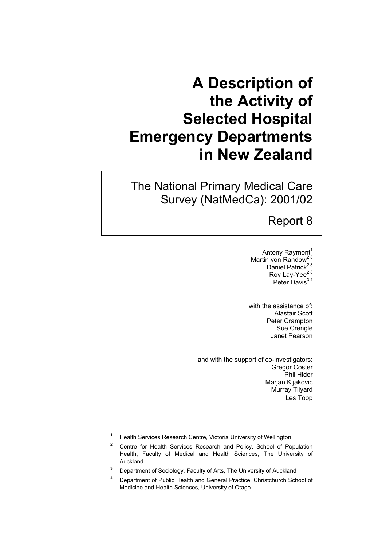# **A Description of the Activity of Selected Hospital Emergency Departments in New Zealand**

The National Primary Medical Care Survey (NatMedCa): 2001/02

### Report 8

Antony Raymont<sup>1</sup> Martin von Randow<sup>2,3</sup> Daniel Patrick<sup>2,3</sup> Roy Lay-Yee<sup>2,3</sup> Peter Davis $3,4$ 

with the assistance of: Alastair Scott Peter Crampton Sue Crengle Janet Pearson

and with the support of co-investigators: Gregor Coster Phil Hider Marjan Kljakovic Murray Tilyard Les Toop

- 1 Health Services Research Centre, Victoria University of Wellington
- 2 Centre for Health Services Research and Policy, School of Population Health, Faculty of Medical and Health Sciences, The University of Auckland
- 3 Department of Sociology, Faculty of Arts, The University of Auckland
- 4 Department of Public Health and General Practice, Christchurch School of Medicine and Health Sciences, University of Otago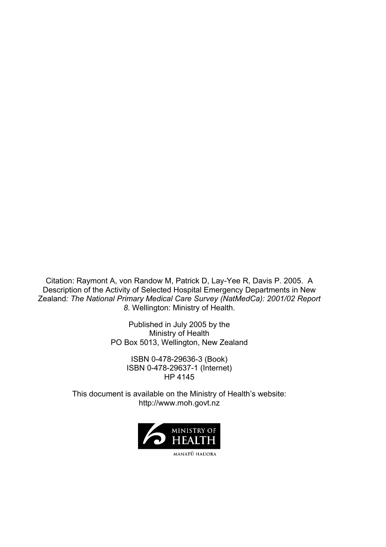Citation: Raymont A, von Randow M, Patrick D, Lay-Yee R, Davis P. 2005. A Description of the Activity of Selected Hospital Emergency Departments in New Zealand*: The National Primary Medical Care Survey (NatMedCa): 2001/02 Report 8*. Wellington: Ministry of Health.

> Published in July 2005 by the Ministry of Health PO Box 5013, Wellington, New Zealand

> > ISBN 0-478-29636-3 (Book) ISBN 0-478-29637-1 (Internet) HP 4145

This document is available on the Ministry of Health's website: http://www.moh.govt.nz

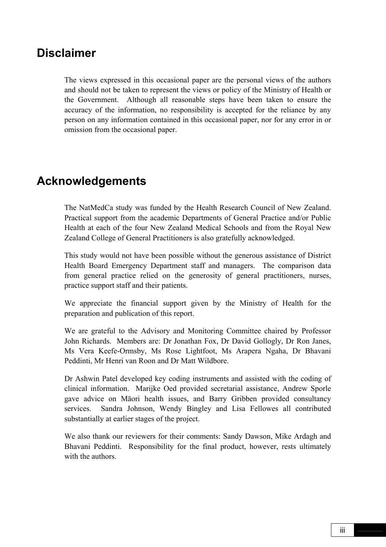### **Disclaimer**

The views expressed in this occasional paper are the personal views of the authors and should not be taken to represent the views or policy of the Ministry of Health or the Government. Although all reasonable steps have been taken to ensure the accuracy of the information, no responsibility is accepted for the reliance by any person on any information contained in this occasional paper, nor for any error in or omission from the occasional paper.

# **Acknowledgements**

The NatMedCa study was funded by the Health Research Council of New Zealand. Practical support from the academic Departments of General Practice and/or Public Health at each of the four New Zealand Medical Schools and from the Royal New Zealand College of General Practitioners is also gratefully acknowledged.

This study would not have been possible without the generous assistance of District Health Board Emergency Department staff and managers. The comparison data from general practice relied on the generosity of general practitioners, nurses, practice support staff and their patients.

We appreciate the financial support given by the Ministry of Health for the preparation and publication of this report.

We are grateful to the Advisory and Monitoring Committee chaired by Professor John Richards. Members are: Dr Jonathan Fox, Dr David Gollogly, Dr Ron Janes, Ms Vera Keefe-Ormsby, Ms Rose Lightfoot, Ms Arapera Ngaha, Dr Bhavani Peddinti, Mr Henri van Roon and Dr Matt Wildbore.

Dr Ashwin Patel developed key coding instruments and assisted with the coding of clinical information. Marijke Oed provided secretarial assistance, Andrew Sporle gave advice on Māori health issues, and Barry Gribben provided consultancy services. Sandra Johnson, Wendy Bingley and Lisa Fellowes all contributed substantially at earlier stages of the project.

We also thank our reviewers for their comments: Sandy Dawson, Mike Ardagh and Bhavani Peddinti. Responsibility for the final product, however, rests ultimately with the authors.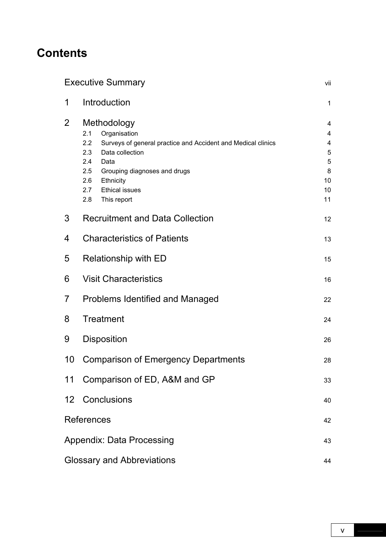# **Contents**

|                                         | <b>Executive Summary</b>                                                                                                                                                                                                                                            | vii                                          |  |  |  |  |
|-----------------------------------------|---------------------------------------------------------------------------------------------------------------------------------------------------------------------------------------------------------------------------------------------------------------------|----------------------------------------------|--|--|--|--|
| 1                                       | Introduction                                                                                                                                                                                                                                                        | 1                                            |  |  |  |  |
| 2                                       | Methodology<br>Organisation<br>2.1<br>2.2<br>Surveys of general practice and Accident and Medical clinics<br>Data collection<br>2.3<br>2.4<br>Data<br>2.5<br>Grouping diagnoses and drugs<br>Ethnicity<br>2.6<br>2.7<br><b>Ethical issues</b><br>This report<br>2.8 | 4<br>4<br>4<br>5<br>5<br>8<br>10<br>10<br>11 |  |  |  |  |
| 3                                       | <b>Recruitment and Data Collection</b>                                                                                                                                                                                                                              | 12                                           |  |  |  |  |
| <b>Characteristics of Patients</b><br>4 |                                                                                                                                                                                                                                                                     |                                              |  |  |  |  |
| 5                                       | Relationship with ED                                                                                                                                                                                                                                                |                                              |  |  |  |  |
| 6                                       | <b>Visit Characteristics</b>                                                                                                                                                                                                                                        |                                              |  |  |  |  |
| 7                                       | <b>Problems Identified and Managed</b>                                                                                                                                                                                                                              | 22                                           |  |  |  |  |
| 8                                       | <b>Treatment</b>                                                                                                                                                                                                                                                    | 24                                           |  |  |  |  |
| 9                                       | Disposition                                                                                                                                                                                                                                                         | 26                                           |  |  |  |  |
| 10                                      | <b>Comparison of Emergency Departments</b>                                                                                                                                                                                                                          | 28                                           |  |  |  |  |
| 11                                      | Comparison of ED, A&M and GP                                                                                                                                                                                                                                        | 33                                           |  |  |  |  |
| 12 <sup>2</sup>                         | Conclusions                                                                                                                                                                                                                                                         | 40                                           |  |  |  |  |
|                                         | References<br>42                                                                                                                                                                                                                                                    |                                              |  |  |  |  |
|                                         | <b>Appendix: Data Processing</b><br>43                                                                                                                                                                                                                              |                                              |  |  |  |  |
|                                         | <b>Glossary and Abbreviations</b>                                                                                                                                                                                                                                   | 44                                           |  |  |  |  |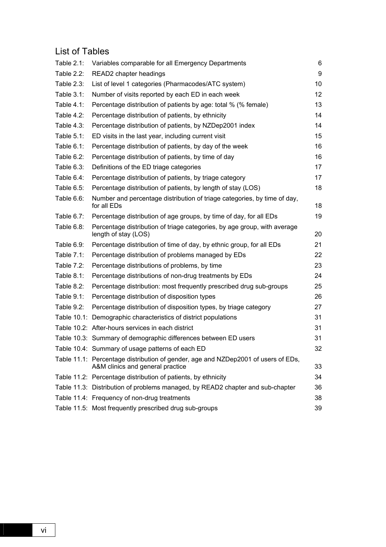### List of Tables

| Table 2.1:    | Variables comparable for all Emergency Departments                                                                    | 6  |
|---------------|-----------------------------------------------------------------------------------------------------------------------|----|
| Table 2.2:    | READ2 chapter headings                                                                                                | 9  |
| Table 2.3:    | List of level 1 categories (Pharmacodes/ATC system)                                                                   | 10 |
| Table $3.1$ : | Number of visits reported by each ED in each week                                                                     | 12 |
| Table 4.1:    | Percentage distribution of patients by age: total % (% female)                                                        | 13 |
| Table $4.2$ : | Percentage distribution of patients, by ethnicity                                                                     | 14 |
| Table $4.3$ : | Percentage distribution of patients, by NZDep2001 index                                                               | 14 |
| Table 5.1:    | ED visits in the last year, including current visit                                                                   | 15 |
| Table 6.1:    | Percentage distribution of patients, by day of the week                                                               | 16 |
| Table $6.2$ : | Percentage distribution of patients, by time of day                                                                   | 16 |
| Table 6.3:    | Definitions of the ED triage categories                                                                               | 17 |
| Table 6.4:    | Percentage distribution of patients, by triage category                                                               | 17 |
| Table 6.5:    | Percentage distribution of patients, by length of stay (LOS)                                                          | 18 |
| Table 6.6:    | Number and percentage distribution of triage categories, by time of day,<br>for all EDs                               | 18 |
| Table 6.7:    | Percentage distribution of age groups, by time of day, for all EDs                                                    | 19 |
| Table 6.8:    | Percentage distribution of triage categories, by age group, with average<br>length of stay (LOS)                      | 20 |
| Table $6.9$ : | Percentage distribution of time of day, by ethnic group, for all EDs                                                  | 21 |
| Table 7.1:    | Percentage distribution of problems managed by EDs                                                                    | 22 |
| Table $7.2$ : | Percentage distributions of problems, by time                                                                         | 23 |
| Table 8.1:    | Percentage distributions of non-drug treatments by EDs                                                                | 24 |
| Table 8.2:    | Percentage distribution: most frequently prescribed drug sub-groups                                                   | 25 |
| Table $9.1$ : | Percentage distribution of disposition types                                                                          | 26 |
| Table 9.2:    | Percentage distribution of disposition types, by triage category                                                      | 27 |
|               | Table 10.1: Demographic characteristics of district populations                                                       | 31 |
|               | Table 10.2: After-hours services in each district                                                                     | 31 |
|               | Table 10.3: Summary of demographic differences between ED users                                                       | 31 |
|               | Table 10.4: Summary of usage patterns of each ED                                                                      | 32 |
|               | Table 11.1: Percentage distribution of gender, age and NZDep2001 of users of EDs,<br>A&M clinics and general practice | 33 |
|               | Table 11.2: Percentage distribution of patients, by ethnicity                                                         | 34 |
|               | Table 11.3: Distribution of problems managed, by READ2 chapter and sub-chapter                                        | 36 |
|               | Table 11.4: Frequency of non-drug treatments                                                                          | 38 |
|               | Table 11.5: Most frequently prescribed drug sub-groups                                                                | 39 |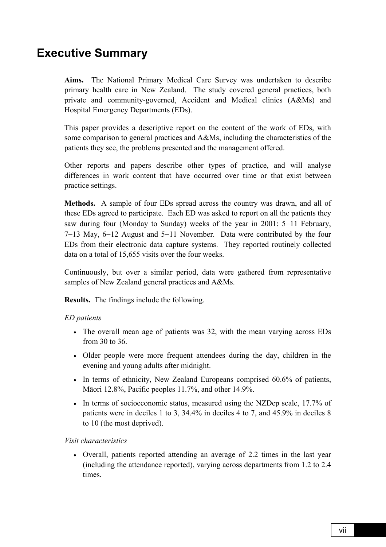# **Executive Summary**

**Aims.** The National Primary Medical Care Survey was undertaken to describe primary health care in New Zealand. The study covered general practices, both private and community-governed, Accident and Medical clinics (A&Ms) and Hospital Emergency Departments (EDs).

This paper provides a descriptive report on the content of the work of EDs, with some comparison to general practices and A&Ms, including the characteristics of the patients they see, the problems presented and the management offered.

Other reports and papers describe other types of practice, and will analyse differences in work content that have occurred over time or that exist between practice settings.

**Methods.** A sample of four EDs spread across the country was drawn, and all of these EDs agreed to participate. Each ED was asked to report on all the patients they saw during four (Monday to Sunday) weeks of the year in 2001: 5−11 February, 7−13 May, 6−12 August and 5−11 November. Data were contributed by the four EDs from their electronic data capture systems. They reported routinely collected data on a total of 15,655 visits over the four weeks.

Continuously, but over a similar period, data were gathered from representative samples of New Zealand general practices and A&Ms.

**Results.** The findings include the following.

#### *ED patients*

- The overall mean age of patients was 32, with the mean varying across EDs from 30 to 36.
- Older people were more frequent attendees during the day, children in the evening and young adults after midnight.
- In terms of ethnicity, New Zealand Europeans comprised 60.6% of patients, Māori 12.8%, Pacific peoples 11.7%, and other 14.9%.
- In terms of socioeconomic status, measured using the NZDep scale, 17.7% of patients were in deciles 1 to 3, 34.4% in deciles 4 to 7, and 45.9% in deciles 8 to 10 (the most deprived).

#### *Visit characteristics*

• Overall, patients reported attending an average of 2.2 times in the last year (including the attendance reported), varying across departments from 1.2 to 2.4 times.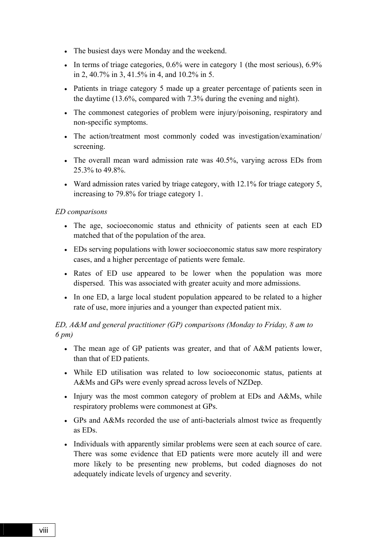- The busiest days were Monday and the weekend.
- In terms of triage categories, 0.6% were in category 1 (the most serious), 6.9% in 2, 40.7% in 3, 41.5% in 4, and 10.2% in 5.
- Patients in triage category 5 made up a greater percentage of patients seen in the daytime (13.6%, compared with 7.3% during the evening and night).
- The commonest categories of problem were injury/poisoning, respiratory and non-specific symptoms.
- The action/treatment most commonly coded was investigation/examination/ screening.
- The overall mean ward admission rate was 40.5%, varying across EDs from 25.3% to 49.8%.
- Ward admission rates varied by triage category, with 12.1% for triage category 5, increasing to 79.8% for triage category 1.

#### *ED comparisons*

- The age, socioeconomic status and ethnicity of patients seen at each ED matched that of the population of the area.
- EDs serving populations with lower socioeconomic status saw more respiratory cases, and a higher percentage of patients were female.
- Rates of ED use appeared to be lower when the population was more dispersed. This was associated with greater acuity and more admissions.
- In one ED, a large local student population appeared to be related to a higher rate of use, more injuries and a younger than expected patient mix.

#### *ED, A&M and general practitioner (GP) comparisons (Monday to Friday, 8 am to 6 pm)*

- The mean age of GP patients was greater, and that of A&M patients lower, than that of ED patients.
- While ED utilisation was related to low socioeconomic status, patients at A&Ms and GPs were evenly spread across levels of NZDep.
- Injury was the most common category of problem at EDs and A&Ms, while respiratory problems were commonest at GPs.
- GPs and A&Ms recorded the use of anti-bacterials almost twice as frequently as EDs.
- Individuals with apparently similar problems were seen at each source of care. There was some evidence that ED patients were more acutely ill and were more likely to be presenting new problems, but coded diagnoses do not adequately indicate levels of urgency and severity.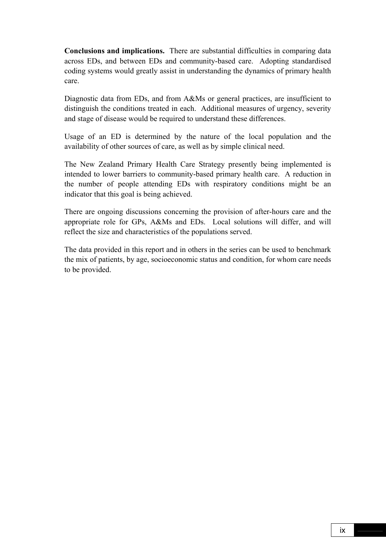**Conclusions and implications.** There are substantial difficulties in comparing data across EDs, and between EDs and community-based care. Adopting standardised coding systems would greatly assist in understanding the dynamics of primary health care.

Diagnostic data from EDs, and from A&Ms or general practices, are insufficient to distinguish the conditions treated in each. Additional measures of urgency, severity and stage of disease would be required to understand these differences.

Usage of an ED is determined by the nature of the local population and the availability of other sources of care, as well as by simple clinical need.

The New Zealand Primary Health Care Strategy presently being implemented is intended to lower barriers to community-based primary health care. A reduction in the number of people attending EDs with respiratory conditions might be an indicator that this goal is being achieved.

There are ongoing discussions concerning the provision of after-hours care and the appropriate role for GPs, A&Ms and EDs. Local solutions will differ, and will reflect the size and characteristics of the populations served.

The data provided in this report and in others in the series can be used to benchmark the mix of patients, by age, socioeconomic status and condition, for whom care needs to be provided.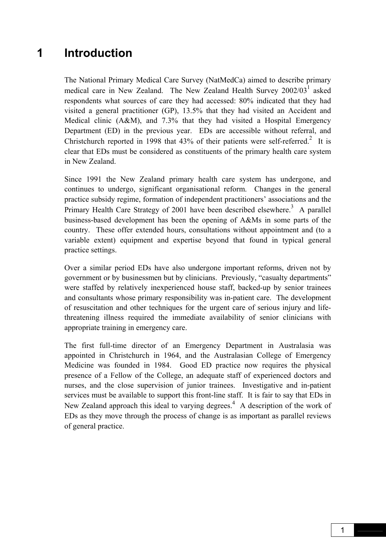# **1 Introduction**

The National Primary Medical Care Survey (NatMedCa) aimed to describe primary medical care in New Zealand. The New Zealand Health Survey 2002/03<sup>1</sup> asked respondents what sources of care they had accessed: 80% indicated that they had visited a general practitioner (GP), 13.5% that they had visited an Accident and Medical clinic (A&M), and 7.3% that they had visited a Hospital Emergency Department (ED) in the previous year. EDs are accessible without referral, and Christchurch reported in 1998 that  $43\%$  of their patients were self-referred.<sup>2</sup> It is clear that EDs must be considered as constituents of the primary health care system in New Zealand.

Since 1991 the New Zealand primary health care system has undergone, and continues to undergo, significant organisational reform. Changes in the general practice subsidy regime, formation of independent practitioners' associations and the Primary Health Care Strategy of 2001 have been described elsewhere.<sup>3</sup> A parallel business-based development has been the opening of A&Ms in some parts of the country. These offer extended hours, consultations without appointment and (to a variable extent) equipment and expertise beyond that found in typical general practice settings.

Over a similar period EDs have also undergone important reforms, driven not by government or by businessmen but by clinicians. Previously, "casualty departments" were staffed by relatively inexperienced house staff, backed-up by senior trainees and consultants whose primary responsibility was in-patient care. The development of resuscitation and other techniques for the urgent care of serious injury and lifethreatening illness required the immediate availability of senior clinicians with appropriate training in emergency care.

The first full-time director of an Emergency Department in Australasia was appointed in Christchurch in 1964, and the Australasian College of Emergency Medicine was founded in 1984. Good ED practice now requires the physical presence of a Fellow of the College, an adequate staff of experienced doctors and nurses, and the close supervision of junior trainees. Investigative and in-patient services must be available to support this front-line staff. It is fair to say that EDs in New Zealand approach this ideal to varying degrees.<sup>4</sup> A description of the work of EDs as they move through the process of change is as important as parallel reviews of general practice.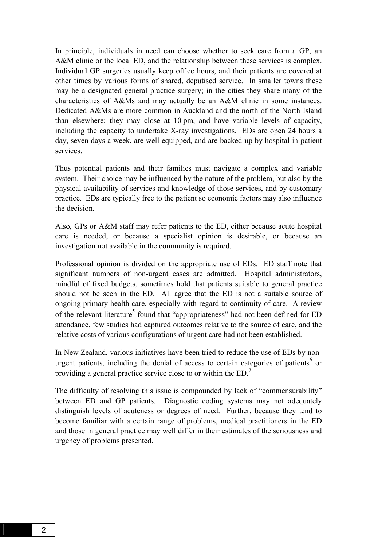In principle, individuals in need can choose whether to seek care from a GP, an A&M clinic or the local ED, and the relationship between these services is complex. Individual GP surgeries usually keep office hours, and their patients are covered at other times by various forms of shared, deputised service. In smaller towns these may be a designated general practice surgery; in the cities they share many of the characteristics of A&Ms and may actually be an A&M clinic in some instances. Dedicated A&Ms are more common in Auckland and the north of the North Island than elsewhere; they may close at 10 pm, and have variable levels of capacity, including the capacity to undertake X-ray investigations. EDs are open 24 hours a day, seven days a week, are well equipped, and are backed-up by hospital in-patient services.

Thus potential patients and their families must navigate a complex and variable system. Their choice may be influenced by the nature of the problem, but also by the physical availability of services and knowledge of those services, and by customary practice. EDs are typically free to the patient so economic factors may also influence the decision.

Also, GPs or A&M staff may refer patients to the ED, either because acute hospital care is needed, or because a specialist opinion is desirable, or because an investigation not available in the community is required.

Professional opinion is divided on the appropriate use of EDs. ED staff note that significant numbers of non-urgent cases are admitted. Hospital administrators, mindful of fixed budgets, sometimes hold that patients suitable to general practice should not be seen in the ED. All agree that the ED is not a suitable source of ongoing primary health care, especially with regard to continuity of care. A review of the relevant literature<sup>5</sup> found that "appropriateness" had not been defined for ED attendance, few studies had captured outcomes relative to the source of care, and the relative costs of various configurations of urgent care had not been established.

In New Zealand, various initiatives have been tried to reduce the use of EDs by nonurgent patients, including the denial of access to certain categories of patients $6$  or providing a general practice service close to or within the ED.7

The difficulty of resolving this issue is compounded by lack of "commensurability" between ED and GP patients. Diagnostic coding systems may not adequately distinguish levels of acuteness or degrees of need. Further, because they tend to become familiar with a certain range of problems, medical practitioners in the ED and those in general practice may well differ in their estimates of the seriousness and urgency of problems presented.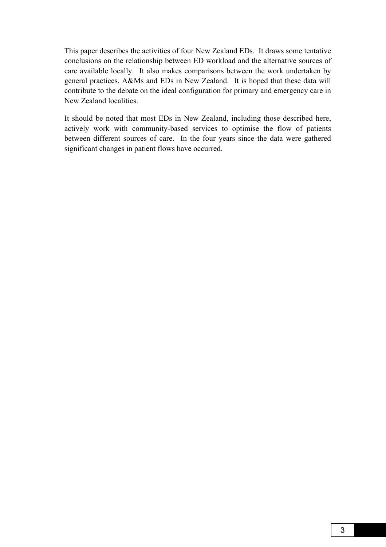This paper describes the activities of four New Zealand EDs. It draws some tentative conclusions on the relationship between ED workload and the alternative sources of care available locally. It also makes comparisons between the work undertaken by general practices, A&Ms and EDs in New Zealand. It is hoped that these data will contribute to the debate on the ideal configuration for primary and emergency care in New Zealand localities.

It should be noted that most EDs in New Zealand, including those described here, actively work with community-based services to optimise the flow of patients between different sources of care. In the four years since the data were gathered significant changes in patient flows have occurred.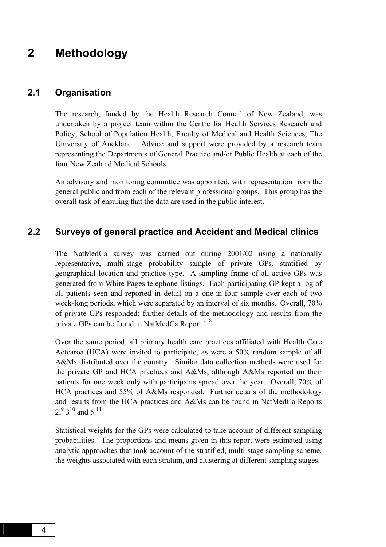### **2 Methodology**

### **2.1 Organisation**

The research, funded by the Health Research Council of New Zealand, was undertaken by a project team within the Centre for Health Services Research and Policy, School of Population Health, Faculty of Medical and Health Sciences, The University of Auckland. Advice and support were provided by a research team representing the Departments of General Practice and/or Public Health at each of the four New Zealand Medical Schools.

An advisory and monitoring committee was appointed, with representation from the general public and from each of the relevant professional groups. This group has the overall task of ensuring that the data are used in the public interest.

### **2.2 Surveys of general practice and Accident and Medical clinics**

The NatMedCa survey was carried out during 2001/02 using a nationally representative, multi-stage probability sample of private GPs, stratified by geographical location and practice type. A sampling frame of all active GPs was generated from White Pages telephone listings. Each participating GP kept a log of all patients seen and reported in detail on a one-in-four sample over each of two week-long periods, which were separated by an interval of six months. Overall, 70% of private GPs responded; further details of the methodology and results from the private GPs can be found in NatMedCa Report 1.8

Over the same period, all primary health care practices affiliated with Health Care Aotearoa (HCA) were invited to participate, as were a 50% random sample of all A&Ms distributed over the country. Similar data collection methods were used for the private GP and HCA practices and A&Ms, although A&Ms reported on their patients for one week only with participants spread over the year. Overall, 70% of HCA practices and 55% of A&Ms responded. Further details of the methodology and results from the HCA practices and A&Ms can be found in NatMedCa Reports  $2<sup>9</sup>$ ,  $3<sup>10</sup>$  and  $5<sup>11</sup>$ 

Statistical weights for the GPs were calculated to take account of different sampling probabilities. The proportions and means given in this report were estimated using analytic approaches that took account of the stratified, multi-stage sampling scheme, the weights associated with each stratum, and clustering at different sampling stages.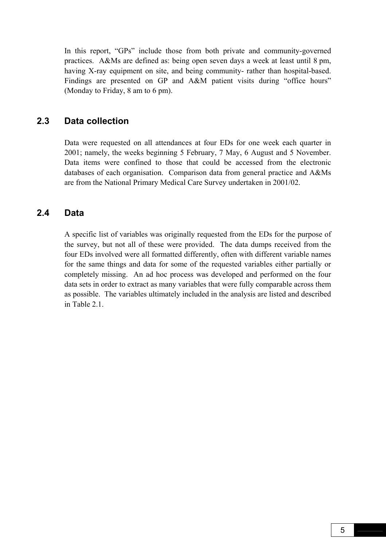In this report, "GPs" include those from both private and community-governed practices. A&Ms are defined as: being open seven days a week at least until 8 pm, having X-ray equipment on site, and being community- rather than hospital-based. Findings are presented on GP and A&M patient visits during "office hours" (Monday to Friday, 8 am to 6 pm).

### **2.3 Data collection**

Data were requested on all attendances at four EDs for one week each quarter in 2001; namely, the weeks beginning 5 February, 7 May, 6 August and 5 November. Data items were confined to those that could be accessed from the electronic databases of each organisation. Comparison data from general practice and A&Ms are from the National Primary Medical Care Survey undertaken in 2001/02.

### **2.4 Data**

A specific list of variables was originally requested from the EDs for the purpose of the survey, but not all of these were provided. The data dumps received from the four EDs involved were all formatted differently, often with different variable names for the same things and data for some of the requested variables either partially or completely missing. An ad hoc process was developed and performed on the four data sets in order to extract as many variables that were fully comparable across them as possible. The variables ultimately included in the analysis are listed and described in Table 2.1.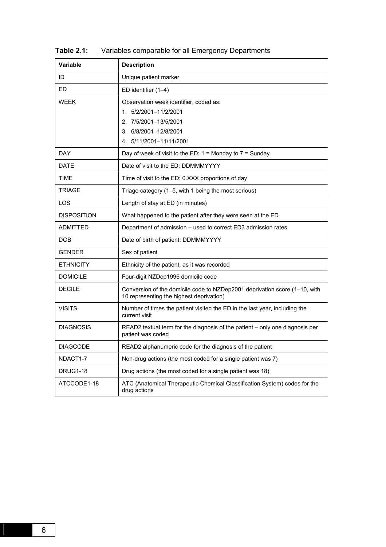| <b>Variable</b>    | <b>Description</b>                                                                                                                           |
|--------------------|----------------------------------------------------------------------------------------------------------------------------------------------|
| ID                 | Unique patient marker                                                                                                                        |
| <b>ED</b>          | ED identifier $(1-4)$                                                                                                                        |
| <b>WEEK</b>        | Observation week identifier, coded as:<br>1. 5/2/2001-11/2/2001<br>2. 7/5/2001-13/5/2001<br>3. 6/8/2001-12/8/2001<br>4. 5/11/2001-11/11/2001 |
| <b>DAY</b>         | Day of week of visit to the ED: $1 =$ Monday to $7 =$ Sunday                                                                                 |
| <b>DATE</b>        | Date of visit to the ED: DDMMMYYYY                                                                                                           |
| <b>TIME</b>        | Time of visit to the ED: 0.XXX proportions of day                                                                                            |
| <b>TRIAGE</b>      | Triage category (1-5, with 1 being the most serious)                                                                                         |
| LOS                | Length of stay at ED (in minutes)                                                                                                            |
| <b>DISPOSITION</b> | What happened to the patient after they were seen at the ED                                                                                  |
| <b>ADMITTED</b>    | Department of admission - used to correct ED3 admission rates                                                                                |
| <b>DOB</b>         | Date of birth of patient: DDMMMYYYY                                                                                                          |
| <b>GENDER</b>      | Sex of patient                                                                                                                               |
| <b>ETHNICITY</b>   | Ethnicity of the patient, as it was recorded                                                                                                 |
| <b>DOMICILE</b>    | Four-digit NZDep1996 domicile code                                                                                                           |
| <b>DECILE</b>      | Conversion of the domicile code to NZDep2001 deprivation score (1-10, with<br>10 representing the highest deprivation)                       |
| <b>VISITS</b>      | Number of times the patient visited the ED in the last year, including the<br>current visit                                                  |
| <b>DIAGNOSIS</b>   | READ2 textual term for the diagnosis of the patient - only one diagnosis per<br>patient was coded                                            |
| <b>DIAGCODE</b>    | READ2 alphanumeric code for the diagnosis of the patient                                                                                     |
| NDACT1-7           | Non-drug actions (the most coded for a single patient was 7)                                                                                 |
| <b>DRUG1-18</b>    | Drug actions (the most coded for a single patient was 18)                                                                                    |
| ATCCODE1-18        | ATC (Anatomical Therapeutic Chemical Classification System) codes for the<br>drug actions                                                    |

**Table 2.1:** Variables comparable for all Emergency Departments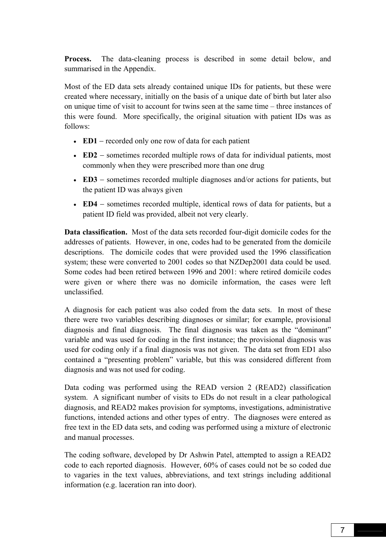**Process.** The data-cleaning process is described in some detail below, and summarised in the Appendix.

Most of the ED data sets already contained unique IDs for patients, but these were created where necessary, initially on the basis of a unique date of birth but later also on unique time of visit to account for twins seen at the same time – three instances of this were found. More specifically, the original situation with patient IDs was as follows:

- **ED1** − recorded only one row of data for each patient
- **ED2** sometimes recorded multiple rows of data for individual patients, most commonly when they were prescribed more than one drug
- **ED3** − sometimes recorded multiple diagnoses and/or actions for patients, but the patient ID was always given
- **ED4** − sometimes recorded multiple, identical rows of data for patients, but a patient ID field was provided, albeit not very clearly.

**Data classification.** Most of the data sets recorded four-digit domicile codes for the addresses of patients. However, in one, codes had to be generated from the domicile descriptions. The domicile codes that were provided used the 1996 classification system; these were converted to 2001 codes so that NZDep2001 data could be used. Some codes had been retired between 1996 and 2001: where retired domicile codes were given or where there was no domicile information, the cases were left unclassified.

A diagnosis for each patient was also coded from the data sets. In most of these there were two variables describing diagnoses or similar; for example, provisional diagnosis and final diagnosis. The final diagnosis was taken as the "dominant" variable and was used for coding in the first instance; the provisional diagnosis was used for coding only if a final diagnosis was not given. The data set from ED1 also contained a "presenting problem" variable, but this was considered different from diagnosis and was not used for coding.

Data coding was performed using the READ version 2 (READ2) classification system. A significant number of visits to EDs do not result in a clear pathological diagnosis, and READ2 makes provision for symptoms, investigations, administrative functions, intended actions and other types of entry. The diagnoses were entered as free text in the ED data sets, and coding was performed using a mixture of electronic and manual processes.

The coding software, developed by Dr Ashwin Patel, attempted to assign a READ2 code to each reported diagnosis. However, 60% of cases could not be so coded due to vagaries in the text values, abbreviations, and text strings including additional information (e.g. laceration ran into door).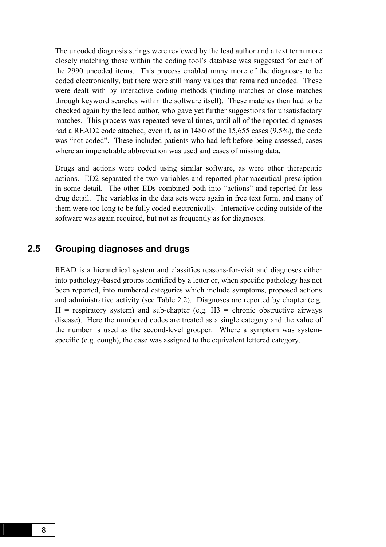The uncoded diagnosis strings were reviewed by the lead author and a text term more closely matching those within the coding tool's database was suggested for each of the 2990 uncoded items. This process enabled many more of the diagnoses to be coded electronically, but there were still many values that remained uncoded. These were dealt with by interactive coding methods (finding matches or close matches through keyword searches within the software itself). These matches then had to be checked again by the lead author, who gave yet further suggestions for unsatisfactory matches. This process was repeated several times, until all of the reported diagnoses had a READ2 code attached, even if, as in 1480 of the 15,655 cases (9.5%), the code was "not coded". These included patients who had left before being assessed, cases where an impenetrable abbreviation was used and cases of missing data.

Drugs and actions were coded using similar software, as were other therapeutic actions. ED2 separated the two variables and reported pharmaceutical prescription in some detail. The other EDs combined both into "actions" and reported far less drug detail. The variables in the data sets were again in free text form, and many of them were too long to be fully coded electronically. Interactive coding outside of the software was again required, but not as frequently as for diagnoses.

#### **2.5 Grouping diagnoses and drugs**

READ is a hierarchical system and classifies reasons-for-visit and diagnoses either into pathology-based groups identified by a letter or, when specific pathology has not been reported, into numbered categories which include symptoms, proposed actions and administrative activity (see Table 2.2). Diagnoses are reported by chapter (e.g.  $H =$  respiratory system) and sub-chapter (e.g.  $H3 =$  chronic obstructive airways disease). Here the numbered codes are treated as a single category and the value of the number is used as the second-level grouper. Where a symptom was systemspecific (e.g. cough), the case was assigned to the equivalent lettered category.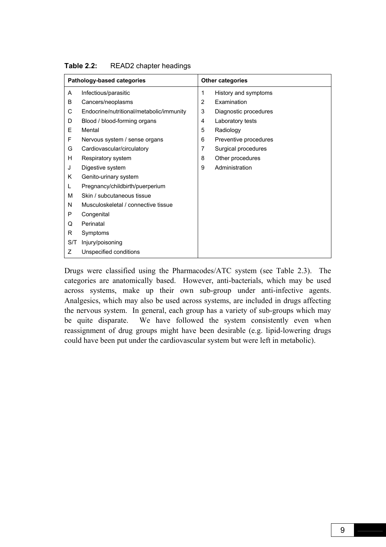|     | Pathology-based categories               |   | <b>Other categories</b> |
|-----|------------------------------------------|---|-------------------------|
| A   | Infectious/parasitic                     | 1 | History and symptoms    |
| B   | Cancers/neoplasms                        | 2 | Examination             |
| С   | Endocrine/nutritional/metabolic/immunity | 3 | Diagnostic procedures   |
| D   | Blood / blood-forming organs             | 4 | Laboratory tests        |
| E   | Mental                                   | 5 | Radiology               |
| F   | Nervous system / sense organs            | 6 | Preventive procedures   |
| G   | Cardiovascular/circulatory               | 7 | Surgical procedures     |
| H   | Respiratory system                       | 8 | Other procedures        |
| J   | Digestive system                         | 9 | Administration          |
| Κ   | Genito-urinary system                    |   |                         |
| L   | Pregnancy/childbirth/puerperium          |   |                         |
| м   | Skin / subcutaneous tissue               |   |                         |
| N   | Musculoskeletal / connective tissue      |   |                         |
| P   | Congenital                               |   |                         |
| Q   | Perinatal                                |   |                         |
| R   | Symptoms                                 |   |                         |
| S/T | Injury/poisoning                         |   |                         |
| Ζ   | Unspecified conditions                   |   |                         |

#### **Table 2.2:** READ2 chapter headings

Drugs were classified using the Pharmacodes/ATC system (see Table 2.3). The categories are anatomically based. However, anti-bacterials, which may be used across systems, make up their own sub-group under anti-infective agents. Analgesics, which may also be used across systems, are included in drugs affecting the nervous system. In general, each group has a variety of sub-groups which may be quite disparate. We have followed the system consistently even when reassignment of drug groups might have been desirable (e.g. lipid-lowering drugs could have been put under the cardiovascular system but were left in metabolic).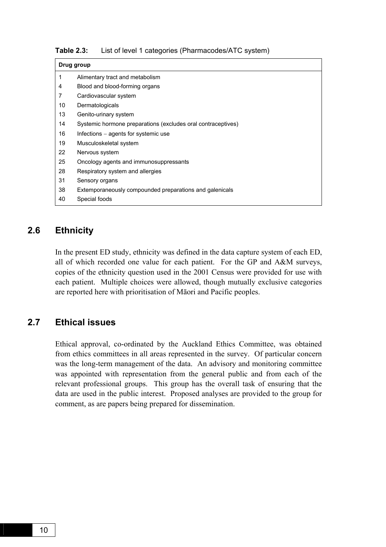| Table 2.3: |  |  | List of level 1 categories (Pharmacodes/ATC system) |  |
|------------|--|--|-----------------------------------------------------|--|
|------------|--|--|-----------------------------------------------------|--|

|    | Drug group                                                   |  |  |  |  |
|----|--------------------------------------------------------------|--|--|--|--|
| 1  | Alimentary tract and metabolism                              |  |  |  |  |
| 4  | Blood and blood-forming organs                               |  |  |  |  |
| 7  | Cardiovascular system                                        |  |  |  |  |
| 10 | Dermatologicals                                              |  |  |  |  |
| 13 | Genito-urinary system                                        |  |  |  |  |
| 14 | Systemic hormone preparations (excludes oral contraceptives) |  |  |  |  |
| 16 | Infections $-$ agents for systemic use                       |  |  |  |  |
| 19 | Musculoskeletal system                                       |  |  |  |  |
| 22 | Nervous system                                               |  |  |  |  |
| 25 | Oncology agents and immunosuppressants                       |  |  |  |  |
| 28 | Respiratory system and allergies                             |  |  |  |  |
| 31 | Sensory organs                                               |  |  |  |  |
| 38 | Extemporaneously compounded preparations and galenicals      |  |  |  |  |
| 40 | Special foods                                                |  |  |  |  |

### **2.6 Ethnicity**

In the present ED study, ethnicity was defined in the data capture system of each ED, all of which recorded one value for each patient. For the GP and A&M surveys, copies of the ethnicity question used in the 2001 Census were provided for use with each patient. Multiple choices were allowed, though mutually exclusive categories are reported here with prioritisation of Māori and Pacific peoples.

### **2.7 Ethical issues**

Ethical approval, co-ordinated by the Auckland Ethics Committee, was obtained from ethics committees in all areas represented in the survey. Of particular concern was the long-term management of the data. An advisory and monitoring committee was appointed with representation from the general public and from each of the relevant professional groups. This group has the overall task of ensuring that the data are used in the public interest. Proposed analyses are provided to the group for comment, as are papers being prepared for dissemination.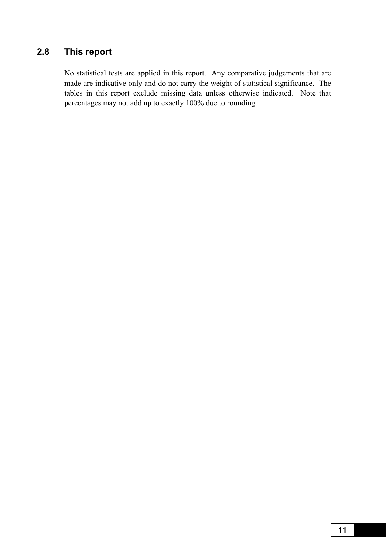### **2.8 This report**

No statistical tests are applied in this report. Any comparative judgements that are made are indicative only and do not carry the weight of statistical significance. The tables in this report exclude missing data unless otherwise indicated. Note that percentages may not add up to exactly 100% due to rounding.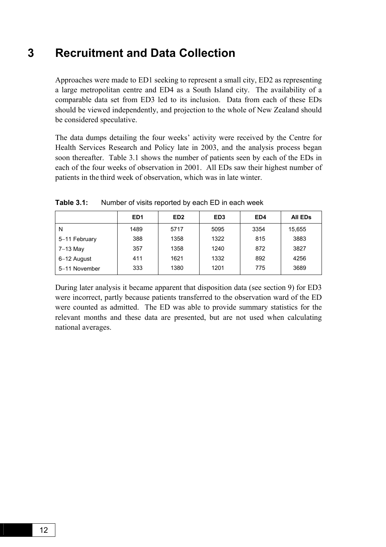### **3 Recruitment and Data Collection**

Approaches were made to ED1 seeking to represent a small city, ED2 as representing a large metropolitan centre and ED4 as a South Island city. The availability of a comparable data set from ED3 led to its inclusion. Data from each of these EDs should be viewed independently, and projection to the whole of New Zealand should be considered speculative.

The data dumps detailing the four weeks' activity were received by the Centre for Health Services Research and Policy late in 2003, and the analysis process began soon thereafter. Table 3.1 shows the number of patients seen by each of the EDs in each of the four weeks of observation in 2001. All EDs saw their highest number of patients in the third week of observation, which was in late winter.

|               | ED <sub>1</sub> | ED <sub>2</sub> | ED <sub>3</sub> | ED4  | <b>All EDS</b> |
|---------------|-----------------|-----------------|-----------------|------|----------------|
| N             | 1489            | 5717            | 5095            | 3354 | 15,655         |
| 5-11 February | 388             | 1358            | 1322            | 815  | 3883           |
| 7-13 May      | 357             | 1358            | 1240            | 872  | 3827           |
| 6-12 August   | 411             | 1621            | 1332            | 892  | 4256           |
| 5-11 November | 333             | 1380            | 1201            | 775  | 3689           |

**Table 3.1:** Number of visits reported by each ED in each week

During later analysis it became apparent that disposition data (see section 9) for ED3 were incorrect, partly because patients transferred to the observation ward of the ED were counted as admitted. The ED was able to provide summary statistics for the relevant months and these data are presented, but are not used when calculating national averages.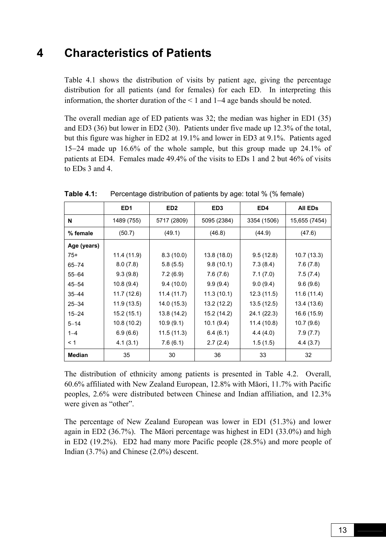### **4 Characteristics of Patients**

Table 4.1 shows the distribution of visits by patient age, giving the percentage distribution for all patients (and for females) for each ED. In interpreting this information, the shorter duration of the < 1 and 1−4 age bands should be noted.

The overall median age of ED patients was 32; the median was higher in ED1 (35) and ED3 (36) but lower in ED2 (30). Patients under five made up 12.3% of the total, but this figure was higher in ED2 at 19.1% and lower in ED3 at 9.1%. Patients aged 15−24 made up 16.6% of the whole sample, but this group made up 24.1% of patients at ED4. Females made 49.4% of the visits to EDs 1 and 2 but 46% of visits to EDs 3 and 4.

|               | ED <sub>1</sub> | ED <sub>2</sub> | ED <sub>3</sub> | ED4         | All ED <sub>s</sub> |
|---------------|-----------------|-----------------|-----------------|-------------|---------------------|
| N             | 1489 (755)      | 5717 (2809)     | 5095 (2384)     | 3354 (1506) | 15,655 (7454)       |
| % female      | (50.7)          | (49.1)          | (46.8)          | (44.9)      | (47.6)              |
| Age (years)   |                 |                 |                 |             |                     |
| $75+$         | 11.4 (11.9)     | 8.3(10.0)       | 13.8 (18.0)     | 9.5(12.8)   | 10.7 (13.3)         |
| $65 - 74$     | 8.0(7.8)        | 5.8(5.5)        | 9.8(10.1)       | 7.3(8.4)    | 7.6(7.8)            |
| $55 - 64$     | 9.3(9.8)        | 7.2(6.9)        | 7.6(7.6)        | 7.1(7.0)    | 7.5(7.4)            |
| $45 - 54$     | 10.8(9.4)       | 9.4(10.0)       | 9.9(9.4)        | 9.0(9.4)    | 9.6(9.6)            |
| $35 - 44$     | 11.7 (12.6)     | 11.4 (11.7)     | 11.3(10.1)      | 12.3(11.5)  | 11.6 (11.4)         |
| $25 - 34$     | 11.9 (13.5)     | 14.0 (15.3)     | 13.2 (12.2)     | 13.5(12.5)  | 13.4 (13.6)         |
| $15 - 24$     | 15.2(15.1)      | 13.8 (14.2)     | 15.2 (14.2)     | 24.1 (22.3) | 16.6 (15.9)         |
| $5 - 14$      | 10.8(10.2)      | 10.9(9.1)       | 10.1(9.4)       | 11.4 (10.8) | 10.7(9.6)           |
| $1 - 4$       | 6.9(6.6)        | 11.5 (11.3)     | 6.4(6.1)        | 4.4(4.0)    | 7.9(7.7)            |
| $\leq 1$      | 4.1(3.1)        | 7.6(6.1)        | 2.7(2.4)        | 1.5(1.5)    | 4.4 (3.7)           |
| <b>Median</b> | 35              | 30              | 36              | 33          | 32                  |

**Table 4.1:** Percentage distribution of patients by age: total % (% female)

The distribution of ethnicity among patients is presented in Table 4.2. Overall, 60.6% affiliated with New Zealand European, 12.8% with Māori, 11.7% with Pacific peoples, 2.6% were distributed between Chinese and Indian affiliation, and 12.3% were given as "other".

The percentage of New Zealand European was lower in ED1 (51.3%) and lower again in ED2 (36.7%). The Māori percentage was highest in ED1 (33.0%) and high in ED2 (19.2%). ED2 had many more Pacific people (28.5%) and more people of Indian (3.7%) and Chinese (2.0%) descent.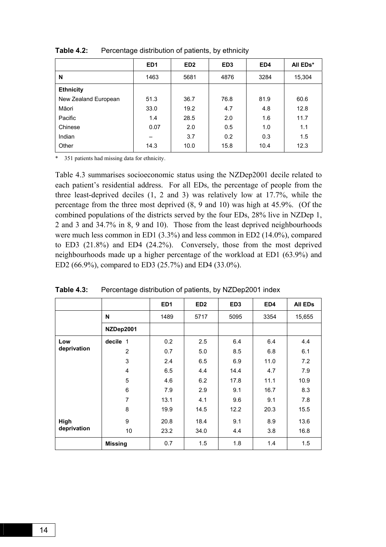|                      | ED <sub>1</sub> | ED <sub>2</sub> | ED <sub>3</sub> | ED4  | All EDs* |
|----------------------|-----------------|-----------------|-----------------|------|----------|
| N                    | 1463            | 5681            | 4876            | 3284 | 15,304   |
| <b>Ethnicity</b>     |                 |                 |                 |      |          |
| New Zealand European | 51.3            | 36.7            | 76.8            | 81.9 | 60.6     |
| Māori                | 33.0            | 19.2            | 4.7             | 4.8  | 12.8     |
| Pacific              | 1.4             | 28.5            | 2.0             | 1.6  | 11.7     |
| Chinese              | 0.07            | 2.0             | 0.5             | 1.0  | 1.1      |
| Indian               |                 | 3.7             | 0.2             | 0.3  | 1.5      |
| Other                | 14.3            | 10.0            | 15.8            | 10.4 | 12.3     |

**Table 4.2:** Percentage distribution of patients, by ethnicity

\* 351 patients had missing data for ethnicity.

Table 4.3 summarises socioeconomic status using the NZDep2001 decile related to each patient's residential address. For all EDs, the percentage of people from the three least-deprived deciles (1, 2 and 3) was relatively low at 17.7%, while the percentage from the three most deprived (8, 9 and 10) was high at 45.9%. (Of the combined populations of the districts served by the four EDs, 28% live in NZDep 1, 2 and 3 and 34.7% in 8, 9 and 10). Those from the least deprived neighbourhoods were much less common in ED1 (3.3%) and less common in ED2 (14.0%), compared to ED3 (21.8%) and ED4 (24.2%). Conversely, those from the most deprived neighbourhoods made up a higher percentage of the workload at ED1 (63.9%) and ED2 (66.9%), compared to ED3 (25.7%) and ED4 (33.0%).

|             |                | ED <sub>1</sub> | ED <sub>2</sub> | ED <sub>3</sub> | ED4  | <b>All EDs</b> |
|-------------|----------------|-----------------|-----------------|-----------------|------|----------------|
|             | N              | 1489            | 5717            | 5095            | 3354 | 15,655         |
|             | NZDep2001      |                 |                 |                 |      |                |
| Low         | decile 1       | 0.2             | 2.5             | 6.4             | 6.4  | 4.4            |
| deprivation | $\overline{2}$ | 0.7             | 5.0             | 8.5             | 6.8  | 6.1            |
|             | 3              | 2.4             | 6.5             | 6.9             | 11.0 | 7.2            |
|             | $\overline{4}$ | 6.5             | 4.4             | 14.4            | 4.7  | 7.9            |
|             | 5              | 4.6             | 6.2             | 17.8            | 11.1 | 10.9           |
|             | $\,6$          | 7.9             | 2.9             | 9.1             | 16.7 | 8.3            |
|             | 7              | 13.1            | 4.1             | 9.6             | 9.1  | 7.8            |
|             | 8              | 19.9            | 14.5            | 12.2            | 20.3 | 15.5           |
| High        | 9              | 20.8            | 18.4            | 9.1             | 8.9  | 13.6           |
| deprivation | 10             | 23.2            | 34.0            | 4.4             | 3.8  | 16.8           |
|             | <b>Missing</b> | 0.7             | 1.5             | 1.8             | 1.4  | 1.5            |

**Table 4.3:** Percentage distribution of patients, by NZDep2001 index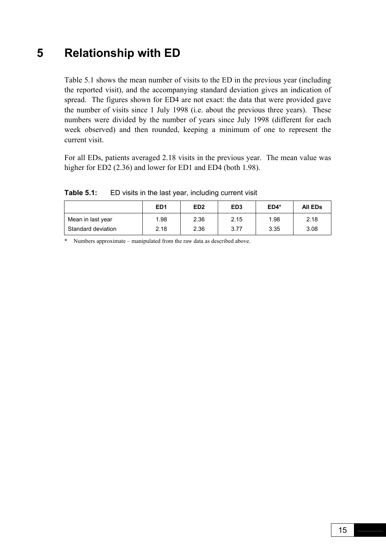### **5 Relationship with ED**

Table 5.1 shows the mean number of visits to the ED in the previous year (including the reported visit), and the accompanying standard deviation gives an indication of spread. The figures shown for ED4 are not exact: the data that were provided gave the number of visits since 1 July 1998 (i.e. about the previous three years). These numbers were divided by the number of years since July 1998 (different for each week observed) and then rounded, keeping a minimum of one to represent the current visit.

For all EDs, patients averaged 2.18 visits in the previous year. The mean value was higher for ED2 (2.36) and lower for ED1 and ED4 (both 1.98).

|                    | ED <sub>1</sub> | ED <sub>2</sub> | ED <sub>3</sub> | $ED4*$ | <b>All EDs</b> |
|--------------------|-----------------|-----------------|-----------------|--------|----------------|
| Mean in last year  | 1.98            | 2.36            | 2.15            | 1.98   | 2.18           |
| Standard deviation | 2.18            | 2.36            | 3.77            | 3.35   | 3.08           |

**Table 5.1:** ED visits in the last year, including current visit

\* Numbers approximate – manipulated from the raw data as described above.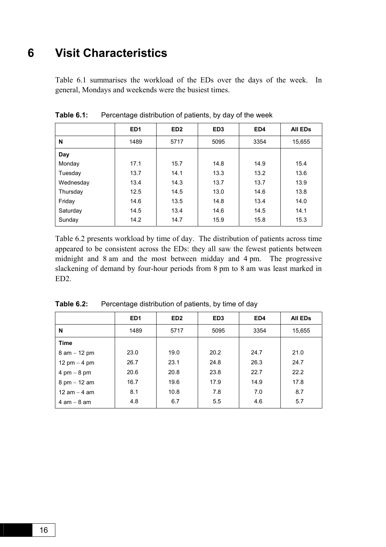# **6 Visit Characteristics**

Table 6.1 summarises the workload of the EDs over the days of the week. In general, Mondays and weekends were the busiest times.

|           | ED <sub>1</sub> | ED <sub>2</sub> | ED <sub>3</sub> | ED4  | <b>All EDs</b> |
|-----------|-----------------|-----------------|-----------------|------|----------------|
| N         | 1489            | 5717            | 5095            | 3354 | 15,655         |
| Day       |                 |                 |                 |      |                |
| Monday    | 17.1            | 15.7            | 14.8            | 14.9 | 15.4           |
| Tuesday   | 13.7            | 14.1            | 13.3            | 13.2 | 13.6           |
| Wednesday | 13.4            | 14.3            | 13.7            | 13.7 | 13.9           |
| Thursday  | 12.5            | 14.5            | 13.0            | 14.6 | 13.8           |
| Friday    | 14.6            | 13.5            | 14.8            | 13.4 | 14.0           |
| Saturday  | 14.5            | 13.4            | 14.6            | 14.5 | 14.1           |
| Sunday    | 14.2            | 14.7            | 15.9            | 15.8 | 15.3           |

**Table 6.1:** Percentage distribution of patients, by day of the week

Table 6.2 presents workload by time of day. The distribution of patients across time appeared to be consistent across the EDs: they all saw the fewest patients between midnight and 8 am and the most between midday and 4 pm. The progressive slackening of demand by four-hour periods from 8 pm to 8 am was least marked in ED2.

|                                | ED <sub>1</sub> | ED <sub>2</sub> | ED <sub>3</sub> | ED4  | <b>All EDS</b> |
|--------------------------------|-----------------|-----------------|-----------------|------|----------------|
| N                              | 1489            | 5717            | 5095            | 3354 | 15,655         |
| <b>Time</b>                    |                 |                 |                 |      |                |
| $8$ am $-12$ pm                | 23.0            | 19.0            | 20.2            | 24.7 | 21.0           |
| 12 pm $-$ 4 pm                 | 26.7            | 23.1            | 24.8            | 26.3 | 24.7           |
| 4 pm $-8$ pm                   | 20.6            | 20.8            | 23.8            | 22.7 | 22.2           |
| $8 \text{ pm} - 12 \text{ am}$ | 16.7            | 19.6            | 17.9            | 14.9 | 17.8           |
| 12 am $-$ 4 am                 | 8.1             | 10.8            | 7.8             | 7.0  | 8.7            |
| $4$ am $-$ 8 am                | 4.8             | 6.7             | 5.5             | 4.6  | 5.7            |

**Table 6.2:** Percentage distribution of patients, by time of day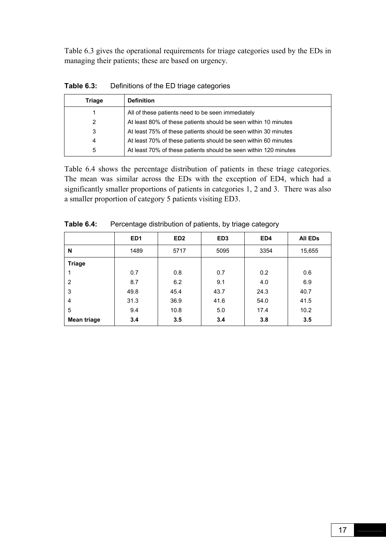Table 6.3 gives the operational requirements for triage categories used by the EDs in managing their patients; these are based on urgency.

| Triage | <b>Definition</b>                                                |
|--------|------------------------------------------------------------------|
|        | All of these patients need to be seen immediately                |
| 2      | At least 80% of these patients should be seen within 10 minutes  |
| 3      | At least 75% of these patients should be seen within 30 minutes  |
| 4      | At least 70% of these patients should be seen within 60 minutes  |
| 5      | At least 70% of these patients should be seen within 120 minutes |

**Table 6.3:** Definitions of the ED triage categories

Table 6.4 shows the percentage distribution of patients in these triage categories. The mean was similar across the EDs with the exception of ED4, which had a significantly smaller proportions of patients in categories 1, 2 and 3. There was also a smaller proportion of category 5 patients visiting ED3.

|               | ED <sub>1</sub> | ED <sub>2</sub> | ED <sub>3</sub> | ED4  | All EDs |
|---------------|-----------------|-----------------|-----------------|------|---------|
| N             | 1489            | 5717            | 5095            | 3354 | 15,655  |
| <b>Triage</b> |                 |                 |                 |      |         |
|               | 0.7             | 0.8             | 0.7             | 0.2  | 0.6     |
| 2             | 8.7             | 6.2             | 9.1             | 4.0  | 6.9     |
| 3             | 49.8            | 45.4            | 43.7            | 24.3 | 40.7    |
| 4             | 31.3            | 36.9            | 41.6            | 54.0 | 41.5    |
| 5             | 9.4             | 10.8            | 5.0             | 17.4 | 10.2    |
| Mean triage   | 3.4             | 3.5             | 3.4             | 3.8  | 3.5     |

**Table 6.4:** Percentage distribution of patients, by triage category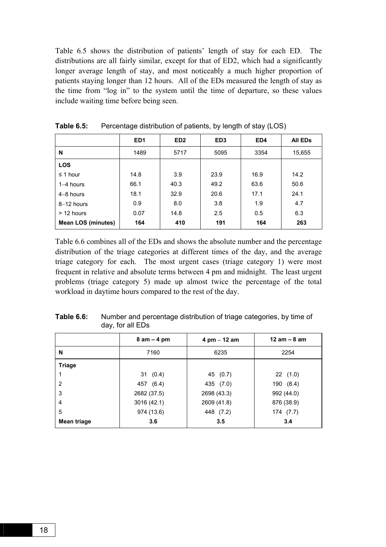Table 6.5 shows the distribution of patients' length of stay for each ED. The distributions are all fairly similar, except for that of ED2, which had a significantly longer average length of stay, and most noticeably a much higher proportion of patients staying longer than 12 hours. All of the EDs measured the length of stay as the time from "log in" to the system until the time of departure, so these values include waiting time before being seen.

|                           | ED <sub>1</sub> | ED <sub>2</sub> | ED <sub>3</sub> | ED4  | <b>All EDs</b> |
|---------------------------|-----------------|-----------------|-----------------|------|----------------|
| N                         | 1489            | 5717            | 5095            | 3354 | 15,655         |
| <b>LOS</b>                |                 |                 |                 |      |                |
| $\leq$ 1 hour             | 14.8            | 3.9             | 23.9            | 16.9 | 14.2           |
| $1-4$ hours               | 66.1            | 40.3            | 49.2            | 63.6 | 50.6           |
| $4-8$ hours               | 18.1            | 32.9            | 20.6            | 17.1 | 24.1           |
| 8-12 hours                | 0.9             | 8.0             | 3.8             | 1.9  | 4.7            |
| $> 12$ hours              | 0.07            | 14.8            | 2.5             | 0.5  | 6.3            |
| <b>Mean LOS (minutes)</b> | 164             | 410             | 191             | 164  | 263            |

**Table 6.5:** Percentage distribution of patients, by length of stay (LOS)

Table 6.6 combines all of the EDs and shows the absolute number and the percentage distribution of the triage categories at different times of the day, and the average triage category for each. The most urgent cases (triage category 1) were most frequent in relative and absolute terms between 4 pm and midnight. The least urgent problems (triage category 5) made up almost twice the percentage of the total workload in daytime hours compared to the rest of the day.

|               | $8$ am $-$ 4 pm | 4 pm - 12 am | $12$ am $-8$ am |
|---------------|-----------------|--------------|-----------------|
| N             | 7160            | 6235         | 2254            |
| <b>Triage</b> |                 |              |                 |
|               | 31(0.4)         | 45 (0.7)     | 22(1.0)         |
| 2             | 457 (6.4)       | 435 (7.0)    | 190 (8.4)       |
| 3             | 2682 (37.5)     | 2698 (43.3)  | 992 (44.0)      |
| 4             | 3016(42.1)      | 2609 (41.8)  | 876 (38.9)      |
| 5             | 974 (13.6)      | 448 (7.2)    | 174 (7.7)       |
| Mean triage   | 3.6             | 3.5          | 3.4             |

**Table 6.6:** Number and percentage distribution of triage categories, by time of day, for all EDs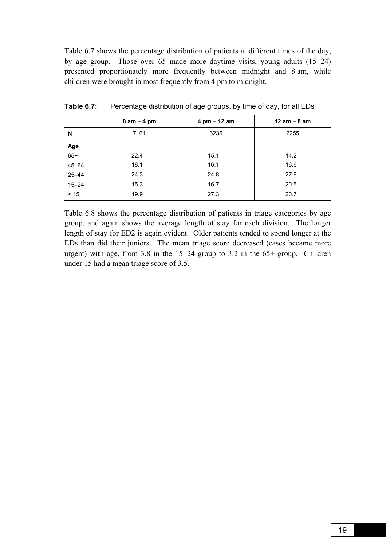Table 6.7 shows the percentage distribution of patients at different times of the day, by age group. Those over 65 made more daytime visits, young adults (15−24) presented proportionately more frequently between midnight and 8 am, while children were brought in most frequently from 4 pm to midnight.

|           | $8$ am $-$ 4 pm | $4 \text{ pm} - 12 \text{ am}$ | 12 am $-$ 8 am |
|-----------|-----------------|--------------------------------|----------------|
| N         | 7161            | 6235                           | 2255           |
| Age       |                 |                                |                |
| $65+$     | 22.4            | 15.1                           | 14.2           |
| $45 - 64$ | 18.1            | 16.1                           | 16.6           |
| $25 - 44$ | 24.3            | 24.8                           | 27.9           |
| $15 - 24$ | 15.3            | 16.7                           | 20.5           |
| $< 15$    | 19.9            | 27.3                           | 20.7           |

**Table 6.7:** Percentage distribution of age groups, by time of day, for all EDs

Table 6.8 shows the percentage distribution of patients in triage categories by age group, and again shows the average length of stay for each division. The longer length of stay for ED2 is again evident. Older patients tended to spend longer at the EDs than did their juniors. The mean triage score decreased (cases became more urgent) with age, from 3.8 in the 15−24 group to 3.2 in the 65+ group. Children under 15 had a mean triage score of 3.5.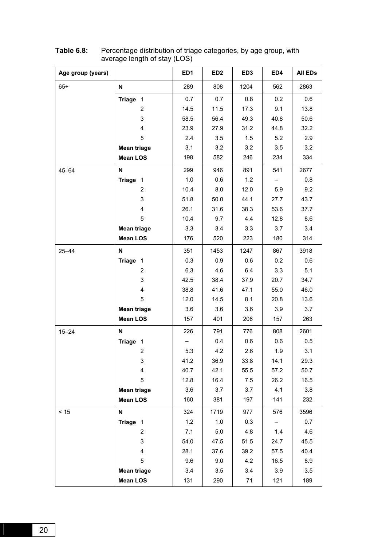| Age group (years) |                           | ED <sub>1</sub> | ED <sub>2</sub> | ED <sub>3</sub> | ED4  | All EDs |
|-------------------|---------------------------|-----------------|-----------------|-----------------|------|---------|
| $65+$             | N                         | 289             | 808             | 1204            | 562  | 2863    |
|                   | Triage 1                  | 0.7             | 0.7             | 0.8             | 0.2  | 0.6     |
|                   | $\overline{2}$            | 14.5            | 11.5            | 17.3            | 9.1  | 13.8    |
|                   | 3                         | 58.5            | 56.4            | 49.3            | 40.8 | 50.6    |
|                   | 4                         | 23.9            | 27.9            | 31.2            | 44.8 | 32.2    |
|                   | 5                         | 2.4             | 3.5             | 1.5             | 5.2  | 2.9     |
|                   | <b>Mean triage</b>        | 3.1             | 3.2             | 3.2             | 3.5  | 3.2     |
|                   | <b>Mean LOS</b>           | 198             | 582             | 246             | 234  | 334     |
| $45 - 64$         | N                         | 299             | 946             | 891             | 541  | 2677    |
|                   | Triage 1                  | 1.0             | 0.6             | 1.2             |      | 0.8     |
|                   | $\overline{2}$            | 10.4            | 8.0             | 12.0            | 5.9  | 9.2     |
|                   | 3                         | 51.8            | 50.0            | 44.1            | 27.7 | 43.7    |
|                   | $\overline{4}$            | 26.1            | 31.6            | 38.3            | 53.6 | 37.7    |
|                   | 5                         | 10.4            | 9.7             | 4.4             | 12.8 | 8.6     |
|                   | <b>Mean triage</b>        | 3.3             | 3.4             | 3.3             | 3.7  | 3.4     |
|                   | <b>Mean LOS</b>           | 176             | 520             | 223             | 180  | 314     |
| $25 - 44$         | N                         | 351             | 1453            | 1247            | 867  | 3918    |
|                   | Triage 1                  | 0.3             | 0.9             | 0.6             | 0.2  | 0.6     |
|                   | $\overline{2}$            | 6.3             | 4.6             | 6.4             | 3.3  | 5.1     |
|                   | 3                         | 42.5            | 38.4            | 37.9            | 20.7 | 34.7    |
|                   | $\overline{4}$            | 38.8            | 41.6            | 47.1            | 55.0 | 46.0    |
|                   | 5                         | 12.0            | 14.5            | 8.1             | 20.8 | 13.6    |
|                   | <b>Mean triage</b>        | 3.6             | 3.6             | 3.6             | 3.9  | 3.7     |
|                   | <b>Mean LOS</b>           | 157             | 401             | 206             | 157  | 263     |
| $15 - 24$         | N                         | 226             | 791             | 776             | 808  | 2601    |
|                   | Triage 1                  |                 | 0.4             | 0.6             | 0.6  | 0.5     |
|                   | 2                         | 5.3             | 4.2             | 2.6             | 1.9  | 3.1     |
|                   | 3                         | 41.2            | 36.9            | 33.8            | 14.1 | 29.3    |
|                   | $\overline{\mathbf{4}}$   | 40.7            | 42.1            | 55.5            | 57.2 | 50.7    |
|                   | 5                         | 12.8            | 16.4            | 7.5             | 26.2 | 16.5    |
|                   | <b>Mean triage</b>        | 3.6             | 3.7             | 3.7             | 4.1  | 3.8     |
|                   | <b>Mean LOS</b>           | 160             | 381             | 197             | 141  | 232     |
| $< 15$            | $\boldsymbol{\mathsf{N}}$ | 324             | 1719            | 977             | 576  | 3596    |
|                   | Triage 1                  | 1.2             | 1.0             | 0.3             |      | 0.7     |
|                   | $\overline{2}$            | 7.1             | 5.0             | 4.8             | 1.4  | 4.6     |
|                   | 3                         | 54.0            | 47.5            | 51.5            | 24.7 | 45.5    |
|                   | 4                         | 28.1            | 37.6            | 39.2            | 57.5 | 40.4    |
|                   | 5                         | 9.6             | 9.0             | 4.2             | 16.5 | 8.9     |
|                   | <b>Mean triage</b>        | 3.4             | 3.5             | 3.4             | 3.9  | 3.5     |
|                   | <b>Mean LOS</b>           | 131             | 290             | 71              | 121  | 189     |

#### **Table 6.8:** Percentage distribution of triage categories, by age group, with average length of stay (LOS)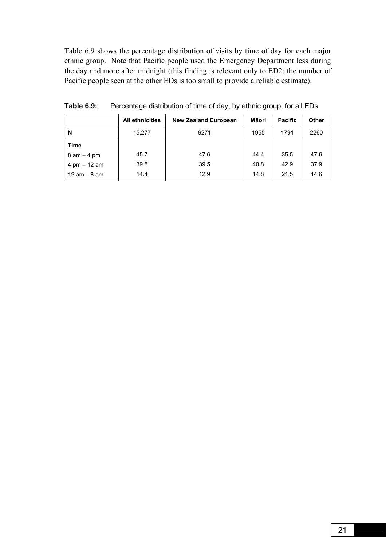Table 6.9 shows the percentage distribution of visits by time of day for each major ethnic group. Note that Pacific people used the Emergency Department less during the day and more after midnight (this finding is relevant only to ED2; the number of Pacific people seen at the other EDs is too small to provide a reliable estimate).

|                 | <b>All ethnicities</b> | <b>New Zealand European</b> | Māori | <b>Pacific</b> | <b>Other</b> |
|-----------------|------------------------|-----------------------------|-------|----------------|--------------|
| N               | 15,277                 | 9271                        | 1955  | 1791           | 2260         |
| <b>Time</b>     |                        |                             |       |                |              |
| $8$ am $-$ 4 pm | 45.7                   | 47.6                        | 44.4  | 35.5           | 47.6         |
| 4 pm $-$ 12 am  | 39.8                   | 39.5                        | 40.8  | 42.9           | 37.9         |
| 12 am $-$ 8 am  | 14.4                   | 12.9                        | 14.8  | 21.5           | 14.6         |

**Table 6.9:** Percentage distribution of time of day, by ethnic group, for all EDs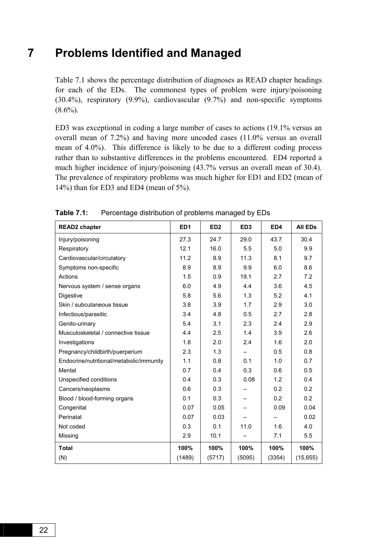# **7 Problems Identified and Managed**

Table 7.1 shows the percentage distribution of diagnoses as READ chapter headings for each of the EDs. The commonest types of problem were injury/poisoning (30.4%), respiratory (9.9%), cardiovascular (9.7%) and non-specific symptoms  $(8.6\%)$ .

ED3 was exceptional in coding a large number of cases to actions (19.1% versus an overall mean of 7.2%) and having more uncoded cases (11.0% versus an overall mean of 4.0%). This difference is likely to be due to a different coding process rather than to substantive differences in the problems encountered. ED4 reported a much higher incidence of injury/poisoning (43.7% versus an overall mean of 30.4). The prevalence of respiratory problems was much higher for ED1 and ED2 (mean of 14%) than for ED3 and ED4 (mean of 5%).

| <b>READ2</b> chapter                     | ED <sub>1</sub> | ED <sub>2</sub> | ED <sub>3</sub> | ED4    | <b>All EDs</b> |
|------------------------------------------|-----------------|-----------------|-----------------|--------|----------------|
| Injury/poisoning                         | 27.3            | 24.7            | 29.0            | 43.7   | 30.4           |
| Respiratory                              | 12.1            | 16.0            | 5.5             | 5.0    | 9.9            |
| Cardiovascular/circulatory               | 11.2            | 8.9             | 11.3            | 8.1    | 9.7            |
| Symptoms non-specific                    | 8.9             | 8.9             | 9.9             | 6.0    | 8.6            |
| Actions                                  | 1.5             | 0.9             | 19.1            | 2.7    | 7.2            |
| Nervous system / sense organs            | 6.0             | 4.9             | 4.4             | 3.6    | 4.5            |
| Digestive                                | 5.8             | 5.6             | 1.3             | 5.2    | 4.1            |
| Skin / subcutaneous tissue               | 3.8             | 3.9             | 1.7             | 2.9    | 3.0            |
| Infectious/parasitic                     | 3.4             | 4.8             | 0.5             | 2.7    | 2.8            |
| Genito-urinary                           | 5.4             | 3.1             | 2.3             | 2.4    | 2.9            |
| Musculoskeletal / connective tissue      | 4.4             | 2.5             | 1.4             | 3.9    | 2.6            |
| Investigations                           | 1.8             | 2.0             | 2.4             | 1.6    | 2.0            |
| Pregnancy/childbirth/puerperium          | 2.3             | 1.3             |                 | 0.5    | 0.8            |
| Endocrine/nutritional/metabolic/immunity | 1.1             | 0.8             | 0.1             | 1.0    | 0.7            |
| Mental                                   | 0.7             | 0.4             | 0.3             | 0.6    | 0.5            |
| Unspecified conditions                   | 0.4             | 0.3             | 0.08            | 1.2    | 0.4            |
| Cancers/neoplasms                        | 0.6             | 0.3             |                 | 0.2    | 0.2            |
| Blood / blood-forming organs             | 0.1             | 0.3             |                 | 0.2    | 0.2            |
| Congenital                               | 0.07            | 0.05            |                 | 0.09   | 0.04           |
| Perinatal                                | 0.07            | 0.03            |                 |        | 0.02           |
| Not coded                                | 0.3             | 0.1             | 11.0            | 1.6    | 4.0            |
| Missing                                  | 2.9             | 10.1            |                 | 7.1    | 5.5            |
| <b>Total</b>                             | 100%            | 100%            | 100%            | 100%   | 100%           |
| (N)                                      | (1489)          | (5717)          | (5095)          | (3354) | (15,655)       |

**Table 7.1:** Percentage distribution of problems managed by EDs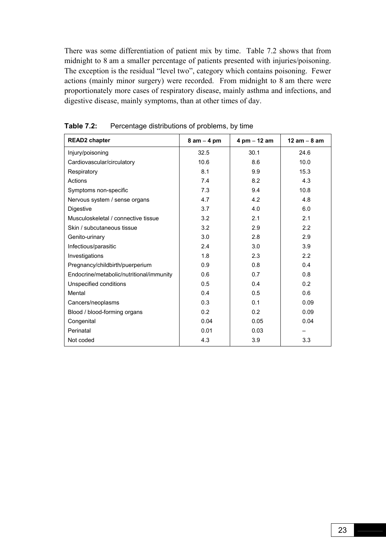There was some differentiation of patient mix by time. Table 7.2 shows that from midnight to 8 am a smaller percentage of patients presented with injuries/poisoning. The exception is the residual "level two", category which contains poisoning. Fewer actions (mainly minor surgery) were recorded. From midnight to 8 am there were proportionately more cases of respiratory disease, mainly asthma and infections, and digestive disease, mainly symptoms, than at other times of day.

| <b>READ2</b> chapter                     | $8$ am $-$ 4 pm | 4 pm $-$ 12 am | $12 am - 8 am$ |
|------------------------------------------|-----------------|----------------|----------------|
| Injury/poisoning                         | 32.5            | 30.1           | 24.6           |
| Cardiovascular/circulatory               | 10.6            | 8.6            | 10.0           |
| Respiratory                              | 8.1             | 9.9            | 15.3           |
| Actions                                  | 7.4             | 8.2            | 4.3            |
| Symptoms non-specific                    | 7.3             | 9.4            | 10.8           |
| Nervous system / sense organs            | 4.7             | 4.2            | 4.8            |
| <b>Digestive</b>                         | 3.7             | 4.0            | 6.0            |
| Musculoskeletal / connective tissue      | 3.2             | 2.1            | 2.1            |
| Skin / subcutaneous tissue               | 3.2             | 2.9            | 2.2            |
| Genito-urinary                           | 3.0             | 2.8            | 2.9            |
| Infectious/parasitic                     | 2.4             | 3.0            | 3.9            |
| Investigations                           | 1.8             | 2.3            | 2.2            |
| Pregnancy/childbirth/puerperium          | 0.9             | 0.8            | 0.4            |
| Endocrine/metabolic/nutritional/immunity | 0.6             | 0.7            | 0.8            |
| Unspecified conditions                   | 0.5             | 0.4            | 0.2            |
| Mental                                   | 0.4             | 0.5            | 0.6            |
| Cancers/neoplasms                        | 0.3             | 0.1            | 0.09           |
| Blood / blood-forming organs             | 0.2             | 0.2            | 0.09           |
| Congenital                               | 0.04            | 0.05           | 0.04           |
| Perinatal                                | 0.01            | 0.03           |                |
| Not coded                                | 4.3             | 3.9            | 3.3            |

**Table 7.2:** Percentage distributions of problems, by time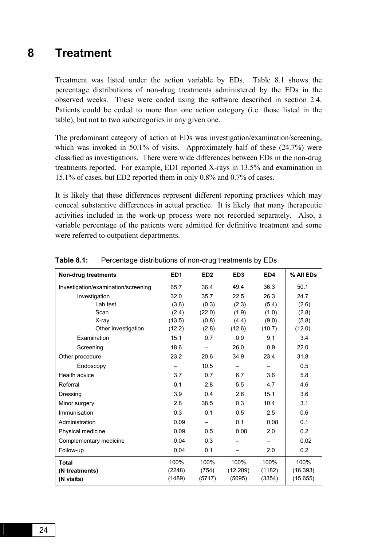### **8 Treatment**

Treatment was listed under the action variable by EDs. Table 8.1 shows the percentage distributions of non-drug treatments administered by the EDs in the observed weeks. These were coded using the software described in section 2.4. Patients could be coded to more than one action category (i.e. those listed in the table), but not to two subcategories in any given one.

The predominant category of action at EDs was investigation/examination/screening, which was invoked in 50.1% of visits. Approximately half of these  $(24.7%)$  were classified as investigations. There were wide differences between EDs in the non-drug treatments reported. For example, ED1 reported X-rays in 13.5% and examination in 15.1% of cases, but ED2 reported them in only 0.8% and 0.7% of cases.

It is likely that these differences represent different reporting practices which may conceal substantive differences in actual practice. It is likely that many therapeutic activities included in the work-up process were not recorded separately. Also, a variable percentage of the patients were admitted for definitive treatment and some were referred to outpatient departments.

| <b>Non-drug treatments</b>          | ED <sub>1</sub> | ED <sub>2</sub> | ED <sub>3</sub> | ED4    | % All EDs |
|-------------------------------------|-----------------|-----------------|-----------------|--------|-----------|
| Investigation/examination/screening | 65.7            | 36.4            | 49.4            | 36.3   | 50.1      |
| Investigation                       | 32.0            | 35.7            | 22.5            | 26.3   | 24.7      |
| Lab test                            | (3.6)           | (0.3)           | (2.3)           | (5.4)  | (2.6)     |
| Scan                                | (2.4)           | (22.0)          | (1.9)           | (1.0)  | (2.8)     |
| X-ray                               | (13.5)          | (0.8)           | (4.4)           | (9.0)  | (5.8)     |
| Other investigation                 | (12.2)          | (2.8)           | (12.6)          | (10.7) | (12.0)    |
| Examination                         | 15.1            | 0.7             | 0.9             | 9.1    | 3.4       |
| Screening                           | 18.6            |                 | 26.0            | 0.9    | 22.0      |
| Other procedure                     | 23.2            | 20.6            | 34.9            | 23.4   | 31.8      |
| Endoscopy                           |                 | 10.5            |                 |        | 0.5       |
| Health advice                       | 3.7             | 0.7             | 6.7             | 3.6    | 5.8       |
| Referral                            | 0.1             | 2.8             | 5.5             | 4.7    | 4.6       |
| Dressing                            | 3.9             | 0.4             | 2.6             | 15.1   | 3.6       |
| Minor surgery                       | 2.8             | 38.5            | 0.3             | 10.4   | 3.1       |
| Immunisation                        | 0.3             | 0.1             | 0.5             | 2.5    | 0.6       |
| Administration                      | 0.09            |                 | 0.1             | 0.08   | 0.1       |
| Physical medicine                   | 0.09            | 0.5             | 0.08            | 2.0    | 0.2       |
| Complementary medicine              | 0.04            | 0.3             |                 |        | 0.02      |
| Follow-up                           | 0.04            | 0.1             |                 | 2.0    | 0.2       |
| <b>Total</b>                        | 100%            | 100%            | 100%            | 100%   | 100%      |
| (N treatments)                      | (2248)          | (754)           | (12, 209)       | (1182) | (16, 393) |
| (N visits)                          | (1489)          | (5717)          | (5095)          | (3354) | (15, 655) |

**Table 8.1:** Percentage distributions of non-drug treatments by EDs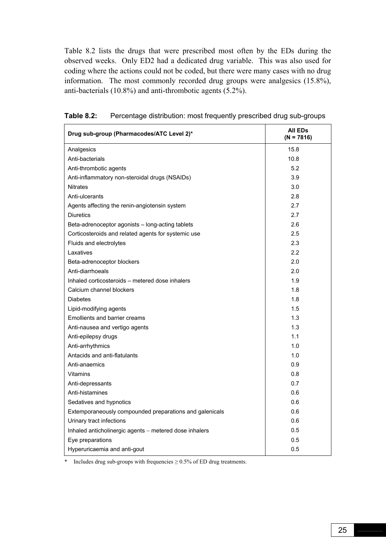Table 8.2 lists the drugs that were prescribed most often by the EDs during the observed weeks. Only ED2 had a dedicated drug variable. This was also used for coding where the actions could not be coded, but there were many cases with no drug information. The most commonly recorded drug groups were analgesics (15.8%), anti-bacterials (10.8%) and anti-thrombotic agents (5.2%).

| Drug sub-group (Pharmacodes/ATC Level 2)*               | All ED <sub>s</sub><br>$(N = 7816)$ |
|---------------------------------------------------------|-------------------------------------|
| Analgesics                                              | 15.8                                |
| Anti-bacterials                                         | 10.8                                |
| Anti-thrombotic agents                                  | 5.2                                 |
| Anti-inflammatory non-steroidal drugs (NSAIDs)          | 3.9                                 |
| <b>Nitrates</b>                                         | 3.0                                 |
| Anti-ulcerants                                          | 2.8                                 |
| Agents affecting the renin-angiotensin system           | 2.7                                 |
| <b>Diuretics</b>                                        | 2.7                                 |
| Beta-adrenoceptor agonists - long-acting tablets        | 2.6                                 |
| Corticosteroids and related agents for systemic use     | 2.5                                 |
| Fluids and electrolytes                                 | 2.3                                 |
| Laxatives                                               | 2.2                                 |
| Beta-adrenoceptor blockers                              | 2.0                                 |
| Anti-diarrhoeals                                        | 2.0                                 |
| Inhaled corticosteroids - metered dose inhalers         | 1.9                                 |
| Calcium channel blockers                                | 1.8                                 |
| <b>Diabetes</b>                                         | 1.8                                 |
| Lipid-modifying agents                                  | 1.5                                 |
| <b>Emollients and barrier creams</b>                    | 1.3                                 |
| Anti-nausea and vertigo agents                          | 1.3                                 |
| Anti-epilepsy drugs                                     | 1.1                                 |
| Anti-arrhythmics                                        | 1.0                                 |
| Antacids and anti-flatulants                            | 1.0                                 |
| Anti-anaemics                                           | 0.9                                 |
| <b>Vitamins</b>                                         | 0.8                                 |
| Anti-depressants                                        | 0.7                                 |
| Anti-histamines                                         | 0.6                                 |
| Sedatives and hypnotics                                 | 0.6                                 |
| Extemporaneously compounded preparations and galenicals | 0.6                                 |
| Urinary tract infections                                | 0.6                                 |
| Inhaled anticholinergic agents - metered dose inhalers  | 0.5                                 |
| Eye preparations                                        | 0.5                                 |
| Hyperuricaemia and anti-gout                            | 0.5                                 |

| Table 8.2: | Percentage distribution: most frequently prescribed drug sub-groups |  |  |  |  |  |  |
|------------|---------------------------------------------------------------------|--|--|--|--|--|--|
|------------|---------------------------------------------------------------------|--|--|--|--|--|--|

\* Includes drug sub-groups with frequencies  $\geq 0.5\%$  of ED drug treatments.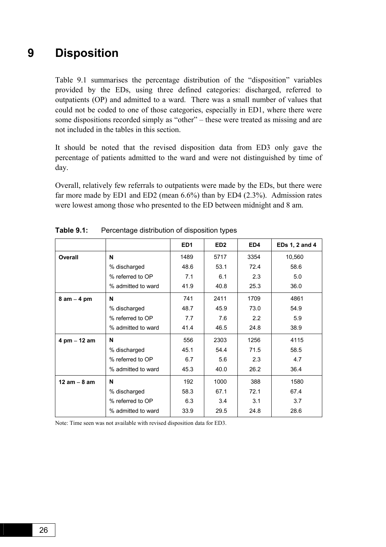### **9 Disposition**

Table 9.1 summarises the percentage distribution of the "disposition" variables provided by the EDs, using three defined categories: discharged, referred to outpatients (OP) and admitted to a ward. There was a small number of values that could not be coded to one of those categories, especially in ED1, where there were some dispositions recorded simply as "other" – these were treated as missing and are not included in the tables in this section.

It should be noted that the revised disposition data from ED3 only gave the percentage of patients admitted to the ward and were not distinguished by time of day.

Overall, relatively few referrals to outpatients were made by the EDs, but there were far more made by ED1 and ED2 (mean 6.6%) than by ED4 (2.3%). Admission rates were lowest among those who presented to the ED between midnight and 8 am.

|                                    |                    | ED <sub>1</sub> | ED <sub>2</sub> | ED4  | EDs 1, 2 and 4 |
|------------------------------------|--------------------|-----------------|-----------------|------|----------------|
| Overall                            | N                  | 1489            | 5717            | 3354 | 10,560         |
|                                    | % discharged       | 48.6            | 53.1            | 72.4 | 58.6           |
|                                    | % referred to OP   | 7.1             | 6.1             | 2.3  | 5.0            |
|                                    | % admitted to ward | 41.9            | 40.8            | 25.3 | 36.0           |
| $8$ am $-$ 4 pm                    | N                  | 741             | 2411            | 1709 | 4861           |
|                                    | % discharged       | 48.7            | 45.9            | 73.0 | 54.9           |
|                                    | % referred to OP   | 7.7             | 7.6             | 2.2  | 5.9            |
|                                    | % admitted to ward | 41.4            | 46.5            | 24.8 | 38.9           |
| $4 \, \text{pm} - 12 \, \text{am}$ | N                  | 556             | 2303            | 1256 | 4115           |
|                                    | % discharged       | 45.1            | 54.4            | 71.5 | 58.5           |
|                                    | % referred to OP   | 6.7             | 5.6             | 2.3  | 4.7            |
|                                    | % admitted to ward | 45.3            | 40.0            | 26.2 | 36.4           |
| 12 $am - 8 am$                     | N                  | 192             | 1000            | 388  | 1580           |
|                                    | % discharged       | 58.3            | 67.1            | 72.1 | 67.4           |
|                                    | % referred to OP   | 6.3             | 3.4             | 3.1  | 3.7            |
|                                    | % admitted to ward | 33.9            | 29.5            | 24.8 | 28.6           |
|                                    |                    |                 |                 |      |                |

**Table 9.1:** Percentage distribution of disposition types

Note: Time seen was not available with revised disposition data for ED3.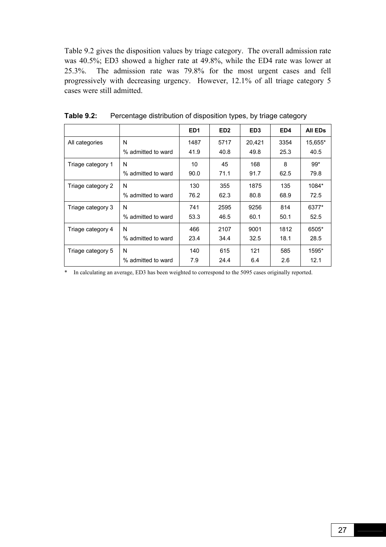Table 9.2 gives the disposition values by triage category. The overall admission rate was 40.5%; ED3 showed a higher rate at 49.8%, while the ED4 rate was lower at 25.3%. The admission rate was 79.8% for the most urgent cases and fell progressively with decreasing urgency. However, 12.1% of all triage category 5 cases were still admitted.

|                   |                    | ED <sub>1</sub> | ED <sub>2</sub> | ED <sub>3</sub> | ED4  | <b>All EDs</b> |
|-------------------|--------------------|-----------------|-----------------|-----------------|------|----------------|
| All categories    | N                  | 1487            | 5717            | 20,421          | 3354 | 15,655*        |
|                   | % admitted to ward | 41.9            | 40.8            | 49.8            | 25.3 | 40.5           |
| Triage category 1 | N                  | 10              | 45              | 168             | 8    | $99*$          |
|                   | % admitted to ward | 90.0            | 71.1            | 91.7            | 62.5 | 79.8           |
| Triage category 2 | N                  | 130             | 355             | 1875            | 135  | 1084*          |
|                   | % admitted to ward | 76.2            | 62.3            | 80.8            | 68.9 | 72.5           |
| Triage category 3 | N                  | 741             | 2595            | 9256            | 814  | 6377*          |
|                   | % admitted to ward | 53.3            | 46.5            | 60.1            | 50.1 | 52.5           |
| Triage category 4 | N                  | 466             | 2107            | 9001            | 1812 | 6505*          |
|                   | % admitted to ward | 23.4            | 34.4            | 32.5            | 18.1 | 28.5           |
| Triage category 5 | N                  | 140             | 615             | 121             | 585  | 1595*          |
|                   | % admitted to ward | 7.9             | 24.4            | 6.4             | 2.6  | 12.1           |

**Table 9.2:** Percentage distribution of disposition types, by triage category

\* In calculating an average, ED3 has been weighted to correspond to the 5095 cases originally reported.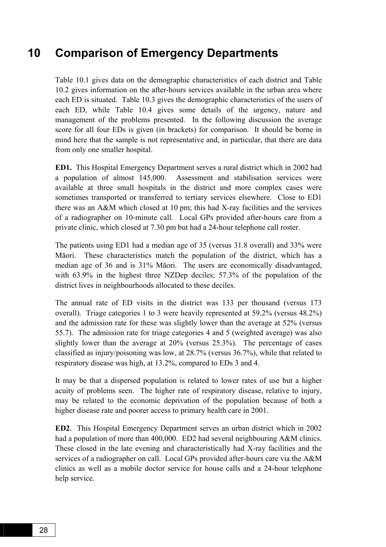### **10 Comparison of Emergency Departments**

Table 10.1 gives data on the demographic characteristics of each district and Table 10.2 gives information on the after-hours services available in the urban area where each ED is situated. Table 10.3 gives the demographic characteristics of the users of each ED, while Table 10.4 gives some details of the urgency, nature and management of the problems presented. In the following discussion the average score for all four EDs is given (in brackets) for comparison. It should be borne in mind here that the sample is not representative and, in particular, that there are data from only one smaller hospital.

**ED1.** This Hospital Emergency Department serves a rural district which in 2002 had a population of almost 145,000. Assessment and stabilisation services were available at three small hospitals in the district and more complex cases were sometimes transported or transferred to tertiary services elsewhere. Close to ED1 there was an A&M which closed at 10 pm; this had X-ray facilities and the services of a radiographer on 10-minute call. Local GPs provided after-hours care from a private clinic, which closed at 7.30 pm but had a 24-hour telephone call roster.

The patients using ED1 had a median age of 35 (versus 31.8 overall) and 33% were Māori. These characteristics match the population of the district, which has a median age of 36 and is 31% Māori. The users are economically disadvantaged, with 63.9% in the highest three NZDep deciles; 57.3% of the population of the district lives in neighbourhoods allocated to these deciles.

The annual rate of ED visits in the district was 133 per thousand (versus 173 overall). Triage categories 1 to 3 were heavily represented at 59.2% (versus 48.2%) and the admission rate for these was slightly lower than the average at 52% (versus 55.7). The admission rate for triage categories 4 and 5 (weighted average) was also slightly lower than the average at 20% (versus 25.3%). The percentage of cases classified as injury/poisoning was low, at 28.7% (versus 36.7%), while that related to respiratory disease was high, at 13.2%, compared to EDs 3 and 4.

It may be that a dispersed population is related to lower rates of use but a higher acuity of problems seen. The higher rate of respiratory disease, relative to injury, may be related to the economic deprivation of the population because of both a higher disease rate and poorer access to primary health care in 2001.

**ED2**. This Hospital Emergency Department serves an urban district which in 2002 had a population of more than 400,000. ED2 had several neighbouring A&M clinics. These closed in the late evening and characteristically had X-ray facilities and the services of a radiographer on call. Local GPs provided after-hours care via the A&M clinics as well as a mobile doctor service for house calls and a 24-hour telephone help service.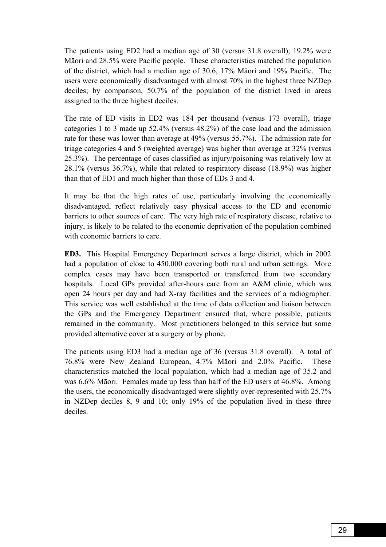The patients using ED2 had a median age of 30 (versus 31.8 overall); 19.2% were Māori and 28.5% were Pacific people. These characteristics matched the population of the district, which had a median age of 30.6, 17% Māori and 19% Pacific. The users were economically disadvantaged with almost 70% in the highest three NZDep deciles; by comparison, 50.7% of the population of the district lived in areas assigned to the three highest deciles.

The rate of ED visits in ED2 was 184 per thousand (versus 173 overall), triage categories 1 to 3 made up 52.4% (versus 48.2%) of the case load and the admission rate for these was lower than average at 49% (versus 55.7%). The admission rate for triage categories 4 and 5 (weighted average) was higher than average at 32% (versus 25.3%). The percentage of cases classified as injury/poisoning was relatively low at 28.1% (versus 36.7%), while that related to respiratory disease (18.9%) was higher than that of ED1 and much higher than those of EDs 3 and 4.

It may be that the high rates of use, particularly involving the economically disadvantaged, reflect relatively easy physical access to the ED and economic barriers to other sources of care. The very high rate of respiratory disease, relative to injury, is likely to be related to the economic deprivation of the population combined with economic barriers to care.

**ED3.** This Hospital Emergency Department serves a large district, which in 2002 had a population of close to 450,000 covering both rural and urban settings. More complex cases may have been transported or transferred from two secondary hospitals. Local GPs provided after-hours care from an A&M clinic, which was open 24 hours per day and had X-ray facilities and the services of a radiographer. This service was well established at the time of data collection and liaison between the GPs and the Emergency Department ensured that, where possible, patients remained in the community. Most practitioners belonged to this service but some provided alternative cover at a surgery or by phone.

The patients using ED3 had a median age of 36 (versus 31.8 overall). A total of 76.8% were New Zealand European, 4.7% Māori and 2.0% Pacific. These characteristics matched the local population, which had a median age of 35.2 and was 6.6% Māori. Females made up less than half of the ED users at 46.8%. Among the users, the economically disadvantaged were slightly over-represented with 25.7% in NZDep deciles 8, 9 and 10; only 19% of the population lived in these three deciles.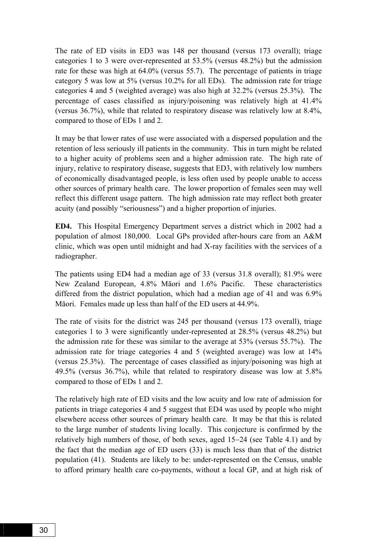The rate of ED visits in ED3 was 148 per thousand (versus 173 overall); triage categories 1 to 3 were over-represented at 53.5% (versus 48.2%) but the admission rate for these was high at 64.0% (versus 55.7). The percentage of patients in triage category 5 was low at 5% (versus 10.2% for all EDs). The admission rate for triage categories 4 and 5 (weighted average) was also high at 32.2% (versus 25.3%). The percentage of cases classified as injury/poisoning was relatively high at 41.4% (versus 36.7%), while that related to respiratory disease was relatively low at 8.4%, compared to those of EDs 1 and 2.

It may be that lower rates of use were associated with a dispersed population and the retention of less seriously ill patients in the community. This in turn might be related to a higher acuity of problems seen and a higher admission rate. The high rate of injury, relative to respiratory disease, suggests that ED3, with relatively low numbers of economically disadvantaged people, is less often used by people unable to access other sources of primary health care. The lower proportion of females seen may well reflect this different usage pattern. The high admission rate may reflect both greater acuity (and possibly "seriousness") and a higher proportion of injuries.

**ED4.** This Hospital Emergency Department serves a district which in 2002 had a population of almost 180,000. Local GPs provided after-hours care from an A&M clinic, which was open until midnight and had X-ray facilities with the services of a radiographer.

The patients using ED4 had a median age of 33 (versus 31.8 overall); 81.9% were New Zealand European, 4.8% Māori and 1.6% Pacific. These characteristics differed from the district population, which had a median age of 41 and was 6.9% Māori. Females made up less than half of the ED users at 44.9%.

The rate of visits for the district was 245 per thousand (versus 173 overall), triage categories 1 to 3 were significantly under-represented at 28.5% (versus 48.2%) but the admission rate for these was similar to the average at 53% (versus 55.7%). The admission rate for triage categories 4 and 5 (weighted average) was low at 14% (versus 25.3%). The percentage of cases classified as injury/poisoning was high at 49.5% (versus 36.7%), while that related to respiratory disease was low at 5.8% compared to those of EDs 1 and 2.

The relatively high rate of ED visits and the low acuity and low rate of admission for patients in triage categories 4 and 5 suggest that ED4 was used by people who might elsewhere access other sources of primary health care. It may be that this is related to the large number of students living locally. This conjecture is confirmed by the relatively high numbers of those, of both sexes, aged 15−24 (see Table 4.1) and by the fact that the median age of ED users (33) is much less than that of the district population (41). Students are likely to be: under-represented on the Census, unable to afford primary health care co-payments, without a local GP, and at high risk of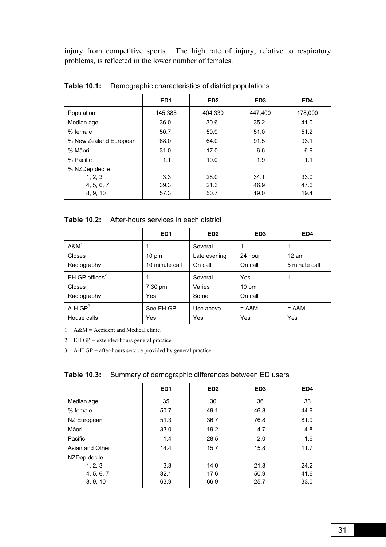injury from competitive sports. The high rate of injury, relative to respiratory problems, is reflected in the lower number of females.

|                        | ED <sub>1</sub> | ED <sub>2</sub> | ED <sub>3</sub> | ED4     |
|------------------------|-----------------|-----------------|-----------------|---------|
| Population             | 145,385         | 404.330         | 447,400         | 178,000 |
| Median age             | 36.0            | 30.6            | 35.2            | 41.0    |
| % female               | 50.7            | 50.9            | 51.0            | 51.2    |
| % New Zealand European | 68.0            | 64.0            | 91.5            | 93.1    |
| % Māori                | 31.0            | 17.0            | 6.6             | 6.9     |
| % Pacific              | 1.1             | 19.0            | 1.9             | 1.1     |
| % NZDep decile         |                 |                 |                 |         |
| 1, 2, 3                | 3.3             | 28.0            | 34.1            | 33.0    |
| 4, 5, 6, 7             | 39.3            | 21.3            | 46.9            | 47.6    |
| 8, 9, 10               | 57.3            | 50.7            | 19.0            | 19.4    |

**Table 10.1:** Demographic characteristics of district populations

| Table 10.2:<br>After-hours services in each district |  |  |
|------------------------------------------------------|--|--|
|------------------------------------------------------|--|--|

|                            | ED <sub>1</sub> | ED <sub>2</sub> | ED <sub>3</sub> | ED4           |
|----------------------------|-----------------|-----------------|-----------------|---------------|
| $A$ &M $1$                 |                 | Several         |                 |               |
| Closes                     | $10 \text{ pm}$ | Late evening    | 24 hour         | 12 am         |
| Radiography                | 10 minute call  | On call         | On call         | 5 minute call |
| EH GP offices <sup>2</sup> |                 | Several         | Yes             |               |
| <b>Closes</b>              | 7.30 pm         | Varies          | $10 \text{ pm}$ |               |
| Radiography                | Yes             | Some            | On call         |               |
| A-H $GP3$                  | See EH GP       | Use above       | $= A$ &M        | $= A$ &M      |
| House calls                | Yes             | Yes             | Yes             | Yes           |

1 A&M = Accident and Medical clinic.

2 EH GP = extended-hours general practice.

3 A-H GP = after-hours service provided by general practice.

|  |  | <b>Table 10.3:</b> Summary of demographic differences between ED users |  |  |  |
|--|--|------------------------------------------------------------------------|--|--|--|
|--|--|------------------------------------------------------------------------|--|--|--|

|                 | ED <sub>1</sub> | ED <sub>2</sub> | ED <sub>3</sub> | ED4  |
|-----------------|-----------------|-----------------|-----------------|------|
| Median age      | 35              | 30              | 36              | 33   |
| % female        | 50.7            | 49.1            | 46.8            | 44.9 |
| NZ European     | 51.3            | 36.7            | 76.8            | 81.9 |
| Māori           | 33.0            | 19.2            | 4.7             | 4.8  |
| Pacific         | 1.4             | 28.5            | 2.0             | 1.6  |
| Asian and Other | 14.4            | 15.7            | 15.8            | 11.7 |
| NZDep decile    |                 |                 |                 |      |
| 1, 2, 3         | 3.3             | 14.0            | 21.8            | 24.2 |
| 4, 5, 6, 7      | 32.1            | 17.6            | 50.9            | 41.6 |
| 8, 9, 10        | 63.9            | 66.9            | 25.7            | 33.0 |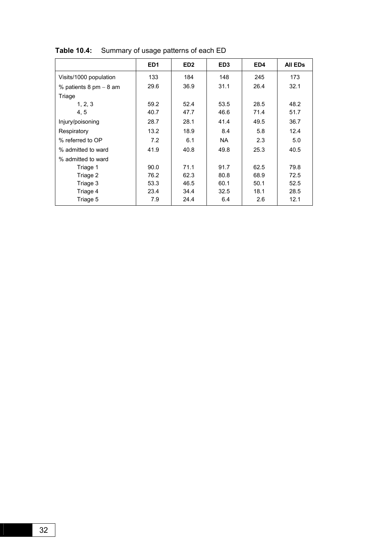|                                          | ED <sub>1</sub> | ED <sub>2</sub> | ED <sub>3</sub> | ED4  | <b>All EDs</b> |
|------------------------------------------|-----------------|-----------------|-----------------|------|----------------|
| Visits/1000 population                   | 133             | 184             | 148             | 245  | 173            |
| % patients $8 \text{ pm} - 8 \text{ am}$ | 29.6            | 36.9            | 31.1            | 26.4 | 32.1           |
| Triage                                   |                 |                 |                 |      |                |
| 1, 2, 3                                  | 59.2            | 52.4            | 53.5            | 28.5 | 48.2           |
| 4, 5                                     | 40.7            | 47.7            | 46.6            | 71.4 | 51.7           |
| Injury/poisoning                         | 28.7            | 28.1            | 41.4            | 49.5 | 36.7           |
| Respiratory                              | 13.2            | 18.9            | 8.4             | 5.8  | 12.4           |
| % referred to OP                         | 7.2             | 6.1             | NA.             | 2.3  | 5.0            |
| % admitted to ward                       | 41.9            | 40.8            | 49.8            | 25.3 | 40.5           |
| % admitted to ward                       |                 |                 |                 |      |                |
| Triage 1                                 | 90.0            | 71.1            | 91.7            | 62.5 | 79.8           |
| Triage 2                                 | 76.2            | 62.3            | 80.8            | 68.9 | 72.5           |
| Triage 3                                 | 53.3            | 46.5            | 60.1            | 50.1 | 52.5           |
| Triage 4                                 | 23.4            | 34.4            | 32.5            | 18.1 | 28.5           |
| Triage 5                                 | 7.9             | 24.4            | 6.4             | 2.6  | 12.1           |

**Table 10.4:** Summary of usage patterns of each ED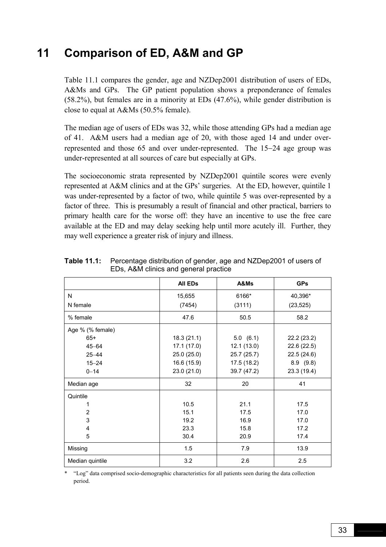# **11 Comparison of ED, A&M and GP**

Table 11.1 compares the gender, age and NZDep2001 distribution of users of EDs, A&Ms and GPs. The GP patient population shows a preponderance of females (58.2%), but females are in a minority at EDs (47.6%), while gender distribution is close to equal at A&Ms (50.5% female).

The median age of users of EDs was 32, while those attending GPs had a median age of 41. A&M users had a median age of 20, with those aged 14 and under overrepresented and those 65 and over under-represented. The 15−24 age group was under-represented at all sources of care but especially at GPs.

The socioeconomic strata represented by NZDep2001 quintile scores were evenly represented at A&M clinics and at the GPs' surgeries. At the ED, however, quintile 1 was under-represented by a factor of two, while quintile 5 was over-represented by a factor of three. This is presumably a result of financial and other practical, barriers to primary health care for the worse off: they have an incentive to use the free care available at the ED and may delay seeking help until more acutely ill. Further, they may well experience a greater risk of injury and illness.

|                  | A&Ms<br><b>All EDs</b> |             | <b>GPs</b>  |
|------------------|------------------------|-------------|-------------|
| N                | 15,655                 | 6166*       | 40,396*     |
| N female         | (7454)                 | (3111)      | (23, 525)   |
| % female         | 47.6                   | 50.5        | 58.2        |
| Age % (% female) |                        |             |             |
| $65+$            | 18.3(21.1)             | 5.0(6.1)    | 22.2(23.2)  |
| $45 - 64$        | 17.1 (17.0)            | 12.1(13.0)  | 22.6(22.5)  |
| $25 - 44$        | 25.0(25.0)             | 25.7 (25.7) | 22.5(24.6)  |
| $15 - 24$        | 16.6 (15.9)            | 17.5(18.2)  | 8.9(9.8)    |
| $0 - 14$         | 23.0 (21.0)            | 39.7 (47.2) | 23.3 (19.4) |
| Median age       | 32                     | 20          | 41          |
| Quintile         |                        |             |             |
| 1                | 10.5                   | 21.1        | 17.5        |
| $\overline{2}$   | 15.1                   | 17.5        | 17.0        |
| 3                | 19.2                   | 16.9        | 17.0        |
| 4                | 23.3                   | 15.8        | 17.2        |
| 5                | 30.4                   | 20.9        | 17.4        |
| Missing          | 1.5                    | 7.9         | 13.9        |
| Median quintile  | 3.2                    | 2.6         | 2.5         |

**Table 11.1:** Percentage distribution of gender, age and NZDep2001 of users of EDs, A&M clinics and general practice

\* ìLogî data comprised socio-demographic characteristics for all patients seen during the data collection period.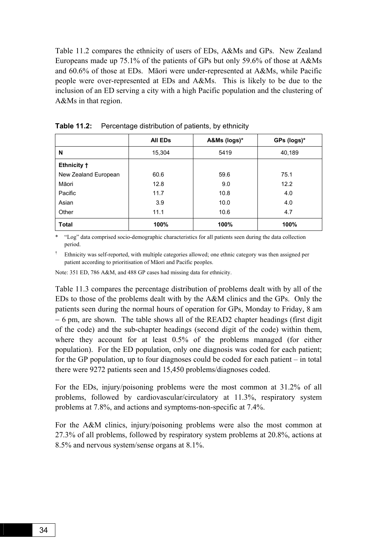Table 11.2 compares the ethnicity of users of EDs, A&Ms and GPs. New Zealand Europeans made up 75.1% of the patients of GPs but only 59.6% of those at A&Ms and 60.6% of those at EDs. Māori were under-represented at A&Ms, while Pacific people were over-represented at EDs and A&Ms. This is likely to be due to the inclusion of an ED serving a city with a high Pacific population and the clustering of A&Ms in that region.

|                      | <b>AII EDS</b> | A&Ms (logs)* | GPs (logs)* |
|----------------------|----------------|--------------|-------------|
| N                    | 15,304         | 5419         | 40,189      |
| Ethnicity +          |                |              |             |
| New Zealand European | 60.6           | 59.6         | 75.1        |
| Māori                | 12.8           | 9.0          | 12.2        |
| Pacific              | 11.7           | 10.8         | 4.0         |
| Asian                | 3.9            | 10.0         | 4.0         |
| Other                | 11.1           | 10.6         | 4.7         |
| <b>Total</b>         | 100%           | 100%         | 100%        |

**Table 11.2:** Percentage distribution of patients, by ethnicity

\* ìLogî data comprised socio-demographic characteristics for all patients seen during the data collection period.

Ethnicity was self-reported, with multiple categories allowed; one ethnic category was then assigned per patient according to prioritisation of Māori and Pacific peoples.

Note: 351 ED, 786 A&M, and 488 GP cases had missing data for ethnicity.

Table 11.3 compares the percentage distribution of problems dealt with by all of the EDs to those of the problems dealt with by the A&M clinics and the GPs. Only the patients seen during the normal hours of operation for GPs, Monday to Friday, 8 am − 6 pm, are shown. The table shows all of the READ2 chapter headings (first digit of the code) and the sub-chapter headings (second digit of the code) within them, where they account for at least 0.5% of the problems managed (for either population). For the ED population, only one diagnosis was coded for each patient; for the GP population, up to four diagnoses could be coded for each patient  $-$  in total there were 9272 patients seen and 15,450 problems/diagnoses coded.

For the EDs, injury/poisoning problems were the most common at 31.2% of all problems, followed by cardiovascular/circulatory at 11.3%, respiratory system problems at 7.8%, and actions and symptoms-non-specific at 7.4%.

For the A&M clinics, injury/poisoning problems were also the most common at 27.3% of all problems, followed by respiratory system problems at 20.8%, actions at 8.5% and nervous system/sense organs at 8.1%.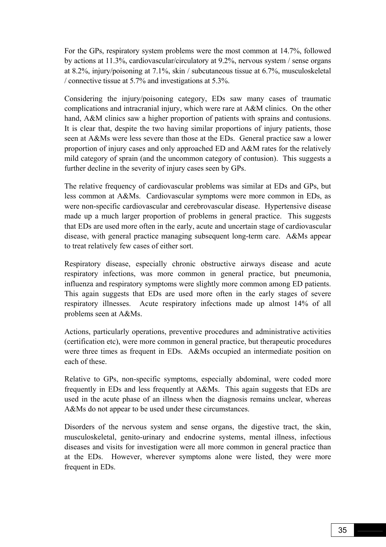For the GPs, respiratory system problems were the most common at 14.7%, followed by actions at 11.3%, cardiovascular/circulatory at 9.2%, nervous system / sense organs at 8.2%, injury/poisoning at 7.1%, skin / subcutaneous tissue at 6.7%, musculoskeletal / connective tissue at 5.7% and investigations at 5.3%.

Considering the injury/poisoning category, EDs saw many cases of traumatic complications and intracranial injury, which were rare at A&M clinics. On the other hand, A&M clinics saw a higher proportion of patients with sprains and contusions. It is clear that, despite the two having similar proportions of injury patients, those seen at A&Ms were less severe than those at the EDs. General practice saw a lower proportion of injury cases and only approached ED and A&M rates for the relatively mild category of sprain (and the uncommon category of contusion). This suggests a further decline in the severity of injury cases seen by GPs.

The relative frequency of cardiovascular problems was similar at EDs and GPs, but less common at A&Ms. Cardiovascular symptoms were more common in EDs, as were non-specific cardiovascular and cerebrovascular disease. Hypertensive disease made up a much larger proportion of problems in general practice. This suggests that EDs are used more often in the early, acute and uncertain stage of cardiovascular disease, with general practice managing subsequent long-term care. A&Ms appear to treat relatively few cases of either sort.

Respiratory disease, especially chronic obstructive airways disease and acute respiratory infections, was more common in general practice, but pneumonia, influenza and respiratory symptoms were slightly more common among ED patients. This again suggests that EDs are used more often in the early stages of severe respiratory illnesses. Acute respiratory infections made up almost 14% of all problems seen at A&Ms.

Actions, particularly operations, preventive procedures and administrative activities (certification etc), were more common in general practice, but therapeutic procedures were three times as frequent in EDs. A&Ms occupied an intermediate position on each of these.

Relative to GPs, non-specific symptoms, especially abdominal, were coded more frequently in EDs and less frequently at A&Ms. This again suggests that EDs are used in the acute phase of an illness when the diagnosis remains unclear, whereas A&Ms do not appear to be used under these circumstances.

Disorders of the nervous system and sense organs, the digestive tract, the skin, musculoskeletal, genito-urinary and endocrine systems, mental illness, infectious diseases and visits for investigation were all more common in general practice than at the EDs. However, wherever symptoms alone were listed, they were more frequent in EDs.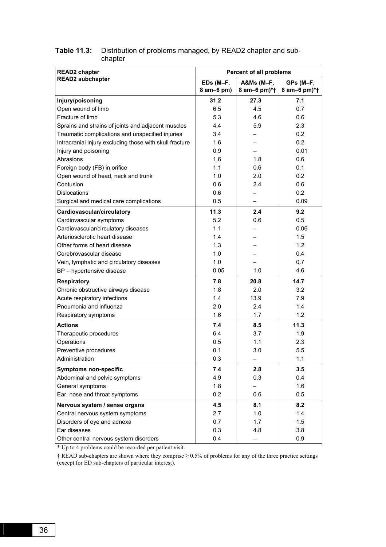| <b>READ2</b> chapter                                    | <b>Percent of all problems</b> |                            |                           |  |
|---------------------------------------------------------|--------------------------------|----------------------------|---------------------------|--|
| <b>READ2</b> subchapter                                 | EDs (M-F,<br>8 am-6 pm)        | A&Ms (M-F,<br>8 am-6 pm)*† | GPs (M-F,<br>8 am-6 pm)*† |  |
| Injury/poisoning                                        | 31.2                           | 27.3                       | 7.1                       |  |
| Open wound of limb                                      | 6.5                            | 4.5                        | 0.7                       |  |
| Fracture of limb                                        | 5.3                            | 4.6                        | 0.6                       |  |
| Sprains and strains of joints and adjacent muscles      | 4.4                            | 5.9                        | 2.3                       |  |
| Traumatic complications and unspecified injuries        | 3.4                            |                            | 0.2                       |  |
| Intracranial injury excluding those with skull fracture | 1.6                            |                            | 0.2                       |  |
| Injury and poisoning                                    | 0.9                            |                            | 0.01                      |  |
| Abrasions                                               | 1.6                            | 1.8                        | 0.6                       |  |
| Foreign body (FB) in orifice                            | 1.1                            | 0.6                        | 0.1                       |  |
| Open wound of head, neck and trunk                      | 1.0                            | 2.0                        | 0.2                       |  |
| Contusion                                               | 0.6                            | 2.4                        | 0.6                       |  |
| <b>Dislocations</b>                                     | 0.6                            |                            | 0.2                       |  |
| Surgical and medical care complications                 | 0.5                            |                            | 0.09                      |  |
| Cardiovascular/circulatory                              | 11.3                           | 2.4                        | 9.2                       |  |
| Cardiovascular symptoms                                 | 5.2                            | 0.6                        | 0.5                       |  |
| Cardiovascular/circulatory diseases                     | 1.1                            |                            | 0.06                      |  |
| Arteriosclerotic heart disease                          | 1.4                            |                            | 1.5                       |  |
| Other forms of heart disease                            | 1.3                            |                            | 1.2                       |  |
| Cerebrovascular disease                                 | 1.0                            |                            | 0.4                       |  |
| Vein, lymphatic and circulatory diseases                | 1.0                            |                            | 0.7                       |  |
| BP - hypertensive disease                               | 0.05                           | 1.0                        | 4.6                       |  |
| <b>Respiratory</b>                                      | 7.8                            | 20.8                       | 14.7                      |  |
| Chronic obstructive airways disease                     | 1.8                            | 2.0                        | 3.2                       |  |
| Acute respiratory infections                            | 1.4                            | 13.9                       | 7.9                       |  |
| Pneumonia and influenza                                 | 2.0                            | 2.4                        | 1.4                       |  |
| Respiratory symptoms                                    | 1.6                            | 1.7                        | 1.2                       |  |
| <b>Actions</b>                                          | 7.4                            | 8.5                        | 11.3                      |  |
| Therapeutic procedures                                  | 6.4                            | 3.7                        | 1.9                       |  |
| Operations                                              | 0.5                            | 1.1                        | 2.3                       |  |
| Preventive procedures                                   | 0.1                            | 3.0                        | 5.5                       |  |
| Administration                                          | 0.3                            |                            | 1.1                       |  |
| <b>Symptoms non-specific</b>                            | 7.4                            | 2.8                        | 3.5                       |  |
| Abdominal and pelvic symptoms                           | 4.9                            | 0.3                        | 0.4                       |  |
| General symptoms                                        | 1.8                            |                            | 1.6                       |  |
| Ear, nose and throat symptoms                           | 0.2                            | 0.6                        | 0.5                       |  |
| Nervous system / sense organs                           | 4.5                            | 8.1                        | 8.2                       |  |
| Central nervous system symptoms                         | 2.7                            | 1.0                        | 1.4                       |  |
| Disorders of eye and adnexa                             | 0.7                            | 1.7                        | 1.5                       |  |
| Ear diseases                                            | 0.3                            | 4.8                        | 3.8                       |  |
| Other central nervous system disorders                  | 0.4                            |                            | 0.9                       |  |

#### **Table 11.3:** Distribution of problems managed, by READ2 chapter and subchapter

\* Up to 4 problems could be recorded per patient visit.

 $\dagger$  READ sub-chapters are shown where they comprise  $\geq 0.5\%$  of problems for any of the three practice settings (except for ED sub-chapters of particular interest).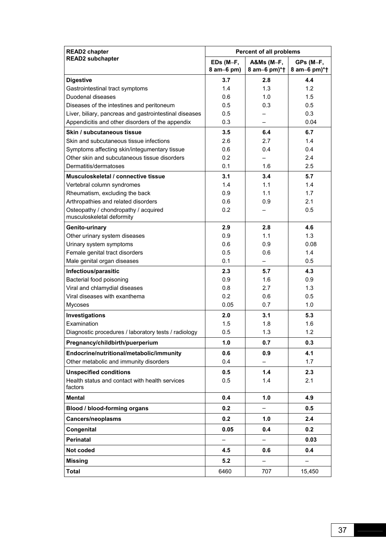| <b>READ2</b> chapter                                              | <b>Percent of all problems</b> |                          |              |
|-------------------------------------------------------------------|--------------------------------|--------------------------|--------------|
| <b>READ2</b> subchapter                                           | EDs (M-F,                      | A&Ms (M-F,               | GPs (M-F,    |
|                                                                   | 8 am-6 pm)                     | 8 am-6 pm)*†             | 8 am-6 pm)*† |
| <b>Digestive</b>                                                  | 3.7                            | 2.8                      | 4.4          |
| Gastrointestinal tract symptoms                                   | 1.4                            | 1.3                      | 1.2          |
| Duodenal diseases                                                 | 0.6                            | 1.0                      | 1.5          |
| Diseases of the intestines and peritoneum                         | 0.5                            | 0.3                      | 0.5          |
| Liver, biliary, pancreas and gastrointestinal diseases            | 0.5                            |                          | 0.3          |
| Appendicitis and other disorders of the appendix                  | 0.3                            | $\overline{\phantom{0}}$ | 0.04         |
| Skin / subcutaneous tissue                                        | 3.5                            | 6.4                      | 6.7          |
| Skin and subcutaneous tissue infections                           | 2.6                            | 2.7                      | 1.4          |
| Symptoms affecting skin/integumentary tissue                      | 0.6                            | 0.4                      | 0.4          |
| Other skin and subcutaneous tissue disorders                      | 0.2                            |                          | 2.4          |
| Dermatitis/dermatoses                                             | 0.1                            | 1.6                      | 2.5          |
| Musculoskeletal / connective tissue                               | 3.1                            | 3.4                      | 5.7          |
| Vertebral column syndromes                                        | 1.4                            | 1.1                      | 1.4          |
| Rheumatism, excluding the back                                    | 0.9                            | 1.1                      | 1.7          |
| Arthropathies and related disorders                               | 0.6                            | 0.9                      | 2.1          |
| Osteopathy / chondropathy / acquired<br>musculoskeletal deformity | 0.2                            |                          | 0.5          |
| Genito-urinary                                                    | 2.9                            | 2.8                      | 4.6          |
| Other urinary system diseases                                     | 0.9                            | 1.1                      | 1.3          |
| Urinary system symptoms                                           | 0.6                            | 0.9                      | 0.08         |
| Female genital tract disorders                                    | 0.5                            | 0.6                      | 1.4          |
| Male genital organ diseases                                       | 0.1                            |                          | 0.5          |
| Infectious/parasitic                                              | 2.3                            | 5.7                      | 4.3          |
| Bacterial food poisoning                                          | 0.9                            | 1.6                      | 0.9          |
| Viral and chlamydial diseases                                     | 0.8                            | 2.7                      | 1.3          |
| Viral diseases with exanthema                                     | 0.2                            | 0.6                      | 0.5          |
| <b>Mycoses</b>                                                    | 0.05                           | 0.7                      | 1.0          |
| Investigations                                                    | 2.0                            | 3.1                      | 5.3          |
| Examination                                                       | 1.5                            | 1.8                      | 1.6          |
| Diagnostic procedures / laboratory tests / radiology              | 0.5                            | 1.3                      | 1.2          |
| Pregnancy/childbirth/puerperium                                   | 1.0                            | 0.7                      | 0.3          |
| Endocrine/nutritional/metabolic/immunity                          | 0.6                            | 0.9                      | 4.1          |
| Other metabolic and immunity disorders                            | 0.4                            |                          | 1.7          |
| <b>Unspecified conditions</b>                                     | 0.5                            | 1.4                      | 2.3          |
| Health status and contact with health services                    | 0.5                            | 1.4                      | 2.1          |
| factors                                                           |                                |                          |              |
| <b>Mental</b>                                                     | 0.4                            | 1.0                      | 4.9          |
| Blood / blood-forming organs                                      | 0.2                            | —                        | 0.5          |
| <b>Cancers/neoplasms</b>                                          | 0.2                            | 1.0                      | 2.4          |
| Congenital                                                        | 0.05                           | 0.4                      | 0.2          |
| <b>Perinatal</b>                                                  | $\overline{\phantom{0}}$       |                          | 0.03         |
| Not coded                                                         | 4.5                            | 0.6                      | 0.4          |
| <b>Missing</b>                                                    | 5.2                            |                          |              |
| Total                                                             | 6460                           | 707                      | 15,450       |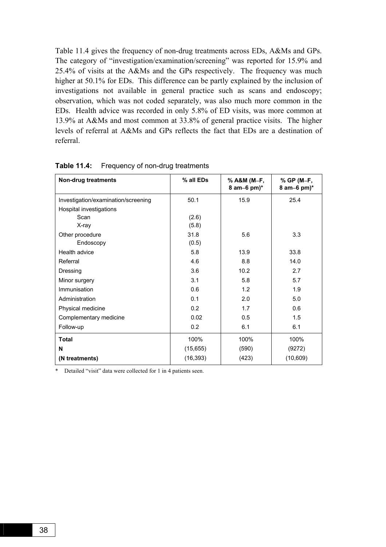Table 11.4 gives the frequency of non-drug treatments across EDs, A&Ms and GPs. The category of "investigation/examination/screening" was reported for 15.9% and 25.4% of visits at the A&Ms and the GPs respectively. The frequency was much higher at 50.1% for EDs. This difference can be partly explained by the inclusion of investigations not available in general practice such as scans and endoscopy; observation, which was not coded separately, was also much more common in the EDs. Health advice was recorded in only 5.8% of ED visits, was more common at 13.9% at A&Ms and most common at 33.8% of general practice visits. The higher levels of referral at A&Ms and GPs reflects the fact that EDs are a destination of referral.

| Non-drug treatments                 | % all EDs | % A&M (M-F,<br>8 am-6 pm $)^*$ | % GP (M-F,<br>8 am-6 pm $)^*$ |
|-------------------------------------|-----------|--------------------------------|-------------------------------|
| Investigation/examination/screening | 50.1      | 15.9                           | 25.4                          |
| Hospital investigations             |           |                                |                               |
| Scan                                | (2.6)     |                                |                               |
| X-ray                               | (5.8)     |                                |                               |
| Other procedure                     | 31.8      | 5.6                            | 3.3                           |
| Endoscopy                           | (0.5)     |                                |                               |
| Health advice                       | 5.8       | 13.9                           | 33.8                          |
| Referral                            | 4.6       | 8.8                            | 14.0                          |
| Dressing                            | 3.6       | 10.2                           | 2.7                           |
| Minor surgery                       | 3.1       | 5.8                            | 5.7                           |
| Immunisation                        | 0.6       | 1.2                            | 1.9                           |
| Administration                      | 0.1       | 2.0                            | 5.0                           |
| Physical medicine                   | 0.2       | 1.7                            | 0.6                           |
| Complementary medicine              | 0.02      | 0.5                            | 1.5                           |
| Follow-up                           | 0.2       | 6.1                            | 6.1                           |
| <b>Total</b>                        | 100%      | 100%                           | 100%                          |
| N                                   | (15, 655) | (590)                          | (9272)                        |
| (N treatments)                      | (16, 393) | (423)                          | (10, 609)                     |

**Table 11.4:** Frequency of non-drug treatments

\* Detailed "visit" data were collected for 1 in 4 patients seen.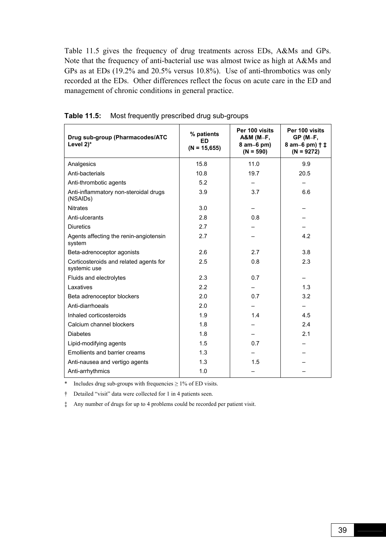Table 11.5 gives the frequency of drug treatments across EDs, A&Ms and GPs. Note that the frequency of anti-bacterial use was almost twice as high at A&Ms and GPs as at EDs (19.2% and 20.5% versus 10.8%). Use of anti-thrombotics was only recorded at the EDs. Other differences reflect the focus on acute care in the ED and management of chronic conditions in general practice.

| Drug sub-group (Pharmacodes/ATC<br>Level 2)*           | % patients<br>ED<br>$(N = 15,655)$ | Per 100 visits<br>A&M (M-F,<br>8 am-6 pm)<br>$(N = 590)$ | Per 100 visits<br>$GP(M-F,$<br>8 am-6 pm) $\dagger$ ‡<br>$(N = 9272)$ |
|--------------------------------------------------------|------------------------------------|----------------------------------------------------------|-----------------------------------------------------------------------|
| Analgesics                                             | 15.8                               | 11.0                                                     | 9.9                                                                   |
| Anti-bacterials                                        | 10.8                               | 19.7                                                     | 20.5                                                                  |
| Anti-thrombotic agents                                 | 5.2                                |                                                          |                                                                       |
| Anti-inflammatory non-steroidal drugs<br>(NSAIDs)      | 3.9                                | 3.7                                                      | 6.6                                                                   |
| <b>Nitrates</b>                                        | 3.0                                |                                                          |                                                                       |
| Anti-ulcerants                                         | 2.8                                | 0.8                                                      |                                                                       |
| <b>Diuretics</b>                                       | 2.7                                |                                                          |                                                                       |
| Agents affecting the renin-angiotensin<br>system       | 2.7                                |                                                          | 4.2                                                                   |
| Beta-adrenoceptor agonists                             | 2.6                                | 2.7                                                      | 3.8                                                                   |
| Corticosteroids and related agents for<br>systemic use | 2.5                                | 0.8                                                      | 2.3                                                                   |
| Fluids and electrolytes                                | 2.3                                | 0.7                                                      |                                                                       |
| Laxatives                                              | 2.2                                |                                                          | 1.3                                                                   |
| Beta adrenoceptor blockers                             | 2.0                                | 0.7                                                      | 3.2                                                                   |
| Anti-diarrhoeals                                       | 2.0                                |                                                          |                                                                       |
| Inhaled corticosteroids                                | 1.9                                | 1.4                                                      | 4.5                                                                   |
| Calcium channel blockers                               | 1.8                                |                                                          | 2.4                                                                   |
| <b>Diabetes</b>                                        | 1.8                                |                                                          | 2.1                                                                   |
| Lipid-modifying agents                                 | 1.5                                | 0.7                                                      |                                                                       |
| Emollients and barrier creams                          | 1.3                                |                                                          |                                                                       |
| Anti-nausea and vertigo agents                         | 1.3                                | 1.5                                                      |                                                                       |
| Anti-arrhythmics                                       | 1.0                                |                                                          |                                                                       |

**Table 11.5:** Most frequently prescribed drug sub-groups

\* Includes drug sub-groups with frequencies  $\geq 1\%$  of ED visits.

<sup>†</sup> Detailed "visit" data were collected for 1 in 4 patients seen.

á Any number of drugs for up to 4 problems could be recorded per patient visit.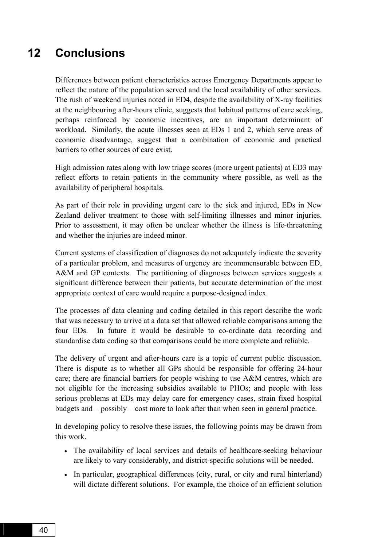# **12 Conclusions**

Differences between patient characteristics across Emergency Departments appear to reflect the nature of the population served and the local availability of other services. The rush of weekend injuries noted in ED4, despite the availability of X-ray facilities at the neighbouring after-hours clinic, suggests that habitual patterns of care seeking, perhaps reinforced by economic incentives, are an important determinant of workload. Similarly, the acute illnesses seen at EDs 1 and 2, which serve areas of economic disadvantage, suggest that a combination of economic and practical barriers to other sources of care exist.

High admission rates along with low triage scores (more urgent patients) at ED3 may reflect efforts to retain patients in the community where possible, as well as the availability of peripheral hospitals.

As part of their role in providing urgent care to the sick and injured, EDs in New Zealand deliver treatment to those with self-limiting illnesses and minor injuries. Prior to assessment, it may often be unclear whether the illness is life-threatening and whether the injuries are indeed minor.

Current systems of classification of diagnoses do not adequately indicate the severity of a particular problem, and measures of urgency are incommensurable between ED, A&M and GP contexts. The partitioning of diagnoses between services suggests a significant difference between their patients, but accurate determination of the most appropriate context of care would require a purpose-designed index.

The processes of data cleaning and coding detailed in this report describe the work that was necessary to arrive at a data set that allowed reliable comparisons among the four EDs. In future it would be desirable to co-ordinate data recording and standardise data coding so that comparisons could be more complete and reliable.

The delivery of urgent and after-hours care is a topic of current public discussion. There is dispute as to whether all GPs should be responsible for offering 24-hour care; there are financial barriers for people wishing to use A&M centres, which are not eligible for the increasing subsidies available to PHOs; and people with less serious problems at EDs may delay care for emergency cases, strain fixed hospital budgets and − possibly − cost more to look after than when seen in general practice.

In developing policy to resolve these issues, the following points may be drawn from this work.

- The availability of local services and details of healthcare-seeking behaviour are likely to vary considerably, and district-specific solutions will be needed.
- In particular, geographical differences (city, rural, or city and rural hinterland) will dictate different solutions. For example, the choice of an efficient solution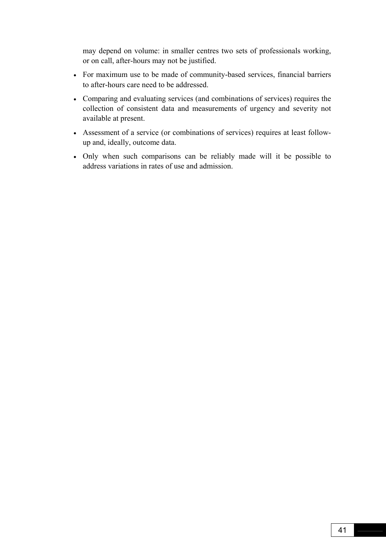may depend on volume: in smaller centres two sets of professionals working, or on call, after-hours may not be justified.

- For maximum use to be made of community-based services, financial barriers to after-hours care need to be addressed.
- Comparing and evaluating services (and combinations of services) requires the collection of consistent data and measurements of urgency and severity not available at present.
- Assessment of a service (or combinations of services) requires at least followup and, ideally, outcome data.
- Only when such comparisons can be reliably made will it be possible to address variations in rates of use and admission.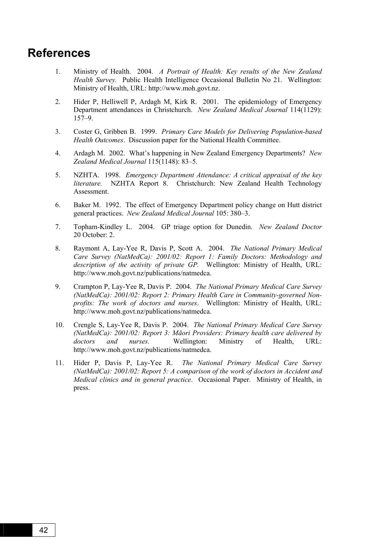### **References**

- 1. Ministry of Health. 2004. *A Portrait of Health: Key results of the New Zealand Health Survey.* Public Health Intelligence Occasional Bulletin No 21. Wellington: Ministry of Health, URL: http://www.moh.govt.nz.
- 2. Hider P, Helliwell P, Ardagh M, Kirk R. 2001. The epidemiology of Emergency Department attendances in Christchurch. *New Zealand Medical Journal* 114(1129):  $157 - 9$
- 3. Coster G, Gribben B. 1999. *Primary Care Models for Delivering Population-based Health Outcomes*. Discussion paper for the National Health Committee.
- 4. Ardagh M. 2002. Whatís happening in New Zealand Emergency Departments? *New Zealand Medical Journal* 115(1148): 83-5.
- 5. NZHTA. 1998. *Emergency Department Attendance: A critical appraisal of the key literature.* NZHTA Report 8. Christchurch: New Zealand Health Technology Assessment.
- 6. Baker M. 1992. The effect of Emergency Department policy change on Hutt district general practices. *New Zealand Medical Journal* 105: 380–3.
- 7. Topham-Kindley L. 2004. GP triage option for Dunedin. *New Zealand Doctor* 20 October: 2.
- 8. Raymont A, Lay-Yee R, Davis P, Scott A. 2004. *The National Primary Medical Care Survey (NatMedCa): 2001/02: Report 1: Family Doctors: Methodology and description of the activity of private GP.* Wellington: Ministry of Health, URL: http://www.moh.govt.nz/publications/natmedca.
- 9. Crampton P, Lay-Yee R, Davis P. 2004. *The National Primary Medical Care Survey (NatMedCa): 2001/02: Report 2: Primary Health Care in Community-governed Nonprofits: The work of doctors and nurses*. Wellington: Ministry of Health, URL: http://www.moh.govt.nz/publications/natmedca.
- 10. Crengle S, Lay-Yee R, Davis P. 2004. *The National Primary Medical Care Survey (NatMedCa): 2001/02: Report 3: Māori Providers: Primary health care delivered by doctors and nurses.* Wellington: Ministry of Health, URL: http://www.moh.govt.nz/publications/natmedca.
- 11. Hider P, Davis P, Lay-Yee R. *The National Primary Medical Care Survey (NatMedCa): 2001/02: Report 5: A comparison of the work of doctors in Accident and Medical clinics and in general practice*. Occasional Paper. Ministry of Health, in press.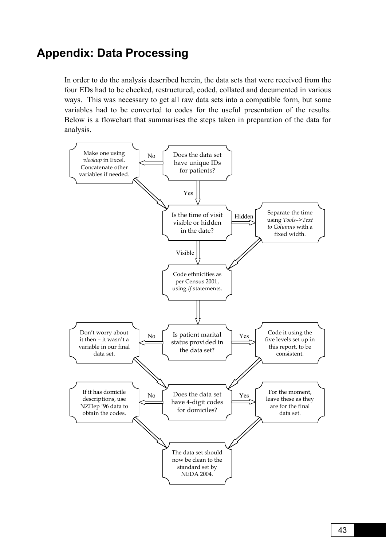# **Appendix: Data Processing**

In order to do the analysis described herein, the data sets that were received from the four EDs had to be checked, restructured, coded, collated and documented in various ways. This was necessary to get all raw data sets into a compatible form, but some variables had to be converted to codes for the useful presentation of the results. Below is a flowchart that summarises the steps taken in preparation of the data for analysis.

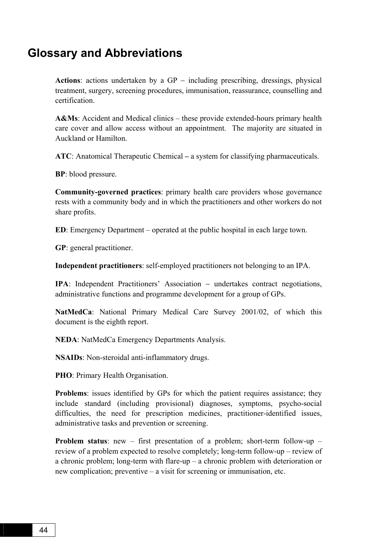### **Glossary and Abbreviations**

**Actions**: actions undertaken by a GP − including prescribing, dressings, physical treatment, surgery, screening procedures, immunisation, reassurance, counselling and certification.

**A&Ms**: Accident and Medical clinics – these provide extended-hours primary health care cover and allow access without an appointment. The majority are situated in Auckland or Hamilton.

**ATC**: Anatomical Therapeutic Chemical – a system for classifying pharmaceuticals.

**BP**: blood pressure.

**Community-governed practices**: primary health care providers whose governance rests with a community body and in which the practitioners and other workers do not share profits.

**ED**: Emergency Department – operated at the public hospital in each large town.

**GP**: general practitioner.

**Independent practitioners**: self-employed practitioners not belonging to an IPA.

**IPA**: Independent Practitioners<sup>'</sup> Association − undertakes contract negotiations, administrative functions and programme development for a group of GPs.

**NatMedCa**: National Primary Medical Care Survey 2001/02, of which this document is the eighth report.

**NEDA**: NatMedCa Emergency Departments Analysis.

**NSAIDs**: Non-steroidal anti-inflammatory drugs.

**PHO**: Primary Health Organisation.

**Problems**: issues identified by GPs for which the patient requires assistance; they include standard (including provisional) diagnoses, symptoms, psycho-social difficulties, the need for prescription medicines, practitioner-identified issues, administrative tasks and prevention or screening.

**Problem status**: new  $-$  first presentation of a problem; short-term follow-up  $$ review of a problem expected to resolve completely; long-term follow-up – review of a chronic problem; long-term with flare-up  $-$  a chronic problem with deterioration or new complication; preventive  $-\alpha$  visit for screening or immunisation, etc.